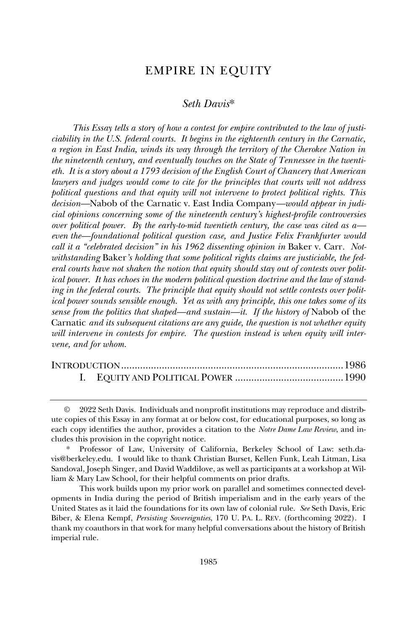# EMPIRE IN EQUITY

# *Seth Davis*\*

*This Essay tells a story of how a contest for empire contributed to the law of justiciability in the U.S. federal courts. It begins in the eighteenth century in the Carnatic, a region in East India, winds its way through the territory of the Cherokee Nation in the nineteenth century, and eventually touches on the State of Tennessee in the twentieth. It is a story about a 1793 decision of the English Court of Chancery that American lawyers and judges would come to cite for the principles that courts will not address political questions and that equity will not intervene to protect political rights. This decision—*Nabob of the Carnatic v. East India Company*—would appear in judicial opinions concerning some of the nineteenth century's highest-profile controversies over political power. By the early-to-mid twentieth century, the case was cited as a even the—foundational political question case, and Justice Felix Frankfurter would call it a "celebrated decision" in his 1962 dissenting opinion in* Baker v. Carr*. Notwithstanding* Baker*'s holding that some political rights claims are justiciable, the federal courts have not shaken the notion that equity should stay out of contests over political power. It has echoes in the modern political question doctrine and the law of standing in the federal courts. The principle that equity should not settle contests over political power sounds sensible enough. Yet as with any principle, this one takes some of its sense from the politics that shaped—and sustain—it. If the history of* Nabob of the Carnatic *and its subsequent citations are any guide, the question is not whether equity will intervene in contests for empire. The question instead is when equity will intervene, and for whom.*

<sup>©</sup> 2022 Seth Davis. Individuals and nonprofit institutions may reproduce and distribute copies of this Essay in any format at or below cost, for educational purposes, so long as each copy identifies the author, provides a citation to the *Notre Dame Law Review*, and includes this provision in the copyright notice.

<sup>\*</sup> Professor of Law, University of California, Berkeley School of Law: seth.davis@berkeley.edu. I would like to thank Christian Burset, Kellen Funk, Leah Litman, Lisa Sandoval, Joseph Singer, and David Waddilove, as well as participants at a workshop at William & Mary Law School, for their helpful comments on prior drafts.

This work builds upon my prior work on parallel and sometimes connected developments in India during the period of British imperialism and in the early years of the United States as it laid the foundations for its own law of colonial rule. *See* Seth Davis, Eric Biber, & Elena Kempf, *Persisting Sovereignties*, 170 U. PA. L. REV. (forthcoming 2022). I thank my coauthors in that work for many helpful conversations about the history of British imperial rule.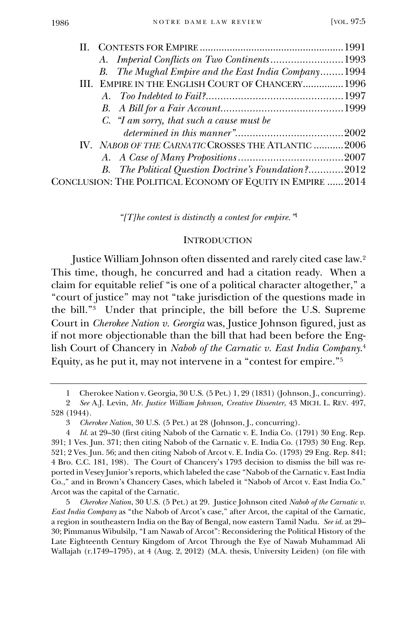| B. The Mughal Empire and the East India Company1994        |  |
|------------------------------------------------------------|--|
| III. EMPIRE IN THE ENGLISH COURT OF CHANCERY 1996          |  |
|                                                            |  |
|                                                            |  |
| C. "I am sorry, that such a cause must be                  |  |
|                                                            |  |
| IV. NABOB OF THE CARNATIC CROSSES THE ATLANTIC 2006        |  |
|                                                            |  |
| B. The Political Question Doctrine's Foundation?2012       |  |
| CONCLUSION: THE POLITICAL ECONOMY OF EQUITY IN EMPIRE 2014 |  |
|                                                            |  |

*"[T]he contest is distinctly a contest for empire."* 1

#### **INTRODUCTION**

Justice William Johnson often dissented and rarely cited case law.<sup>2</sup> This time, though, he concurred and had a citation ready. When a claim for equitable relief "is one of a political character altogether," a "court of justice" may not "take jurisdiction of the questions made in the bill."<sup>3</sup> Under that principle, the bill before the U.S. Supreme Court in *Cherokee Nation v. Georgia* was, Justice Johnson figured, just as if not more objectionable than the bill that had been before the English Court of Chancery in *Nabob of the Carnatic v. East India Company*. 4 Equity, as he put it, may not intervene in a "contest for empire."<sup>5</sup>

1 Cherokee Nation v. Georgia, 30 U.S. (5 Pet.) 1, 29 (1831) (Johnson, J., concurring).

5 *Cherokee Nation*, 30 U.S. (5 Pet.) at 29. Justice Johnson cited *Nabob of the Carnatic v. East India Company* as "the Nabob of Arcot's case," after Arcot, the capital of the Carnatic, a region in southeastern India on the Bay of Bengal, now eastern Tamil Nadu. *See id.* at 29– 30; Pimmanus Wibulsilp, "I am Nawab of Arcot": Reconsidering the Political History of the Late Eighteenth Century Kingdom of Arcot Through the Eye of Nawab Muhammad Ali Wallajah (r.1749–1795), at 4 (Aug. 2, 2012) (M.A. thesis, University Leiden) (on file with

<sup>2</sup> *See* A.J. Levin, *Mr. Justice William Johnson, Creative Dissenter*, 43 MICH. L. REV. 497, 528 (1944).

<span id="page-1-0"></span><sup>3</sup> *Cherokee Nation,* 30 U.S. (5 Pet.) at 28 (Johnson, J., concurring).

<sup>4</sup> *Id.* at 29–30 (first citing Nabob of the Carnatic v. E. India Co. (1791) 30 Eng. Rep. 391; 1 Ves. Jun. 371; then citing Nabob of the Carnatic v. E. India Co. (1793) 30 Eng. Rep. 521; 2 Ves. Jun. 56; and then citing Nabob of Arcot v. E. India Co. (1793) 29 Eng. Rep. 841; 4 Bro. C.C. 181, 198). The Court of Chancery's 1793 decision to dismiss the bill was reported in Vesey Junior's reports, which labeled the case "Nabob of the Carnatic v. East India Co.," and in Brown's Chancery Cases, which labeled it "Nabob of Arcot v. East India Co." Arcot was the capital of the Carnatic.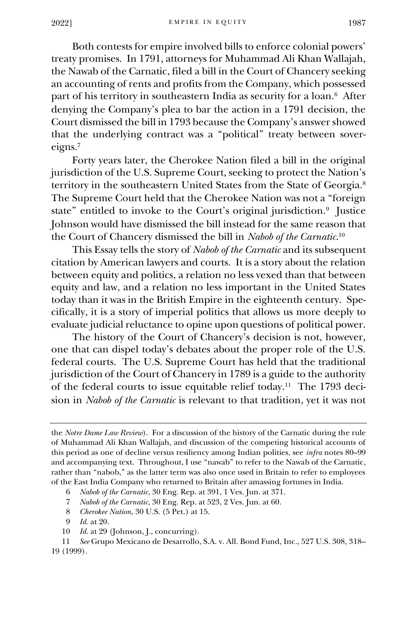Both contests for empire involved bills to enforce colonial powers' treaty promises. In 1791, attorneys for Muhammad Ali Khan Wallajah, the Nawab of the Carnatic, filed a bill in the Court of Chancery seeking an accounting of rents and profits from the Company, which possessed part of his territory in southeastern India as security for a loan.<sup>6</sup> After denying the Company's plea to bar the action in a 1791 decision, the Court dismissed the bill in 1793 because the Company's answer showed that the underlying contract was a "political" treaty between sovereigns.<sup>7</sup>

Forty years later, the Cherokee Nation filed a bill in the original jurisdiction of the U.S. Supreme Court, seeking to protect the Nation's territory in the southeastern United States from the State of Georgia.<sup>8</sup> The Supreme Court held that the Cherokee Nation was not a "foreign state" entitled to invoke to the Court's original jurisdiction.<sup>9</sup> Justice Johnson would have dismissed the bill instead for the same reason that the Court of Chancery dismissed the bill in *Nabob of the Carnatic*. 10

This Essay tells the story of *Nabob of the Carnatic* and its subsequent citation by American lawyers and courts. It is a story about the relation between equity and politics, a relation no less vexed than that between equity and law, and a relation no less important in the United States today than it was in the British Empire in the eighteenth century. Specifically, it is a story of imperial politics that allows us more deeply to evaluate judicial reluctance to opine upon questions of political power.

The history of the Court of Chancery's decision is not, however, one that can dispel today's debates about the proper role of the U.S. federal courts. The U.S. Supreme Court has held that the traditional jurisdiction of the Court of Chancery in 1789 is a guide to the authority of the federal courts to issue equitable relief today.<sup>11</sup> The 1793 decision in *Nabob of the Carnatic* is relevant to that tradition, yet it was not

8 *Cherokee Nation*, 30 U.S. (5 Pet.) at 15.

10 *Id.* at 29 (Johnson, J., concurring).

11 *See* Grupo Mexicano de Desarrollo, S.A. v. All. Bond Fund, Inc., 527 U.S. 308, 318– 19 (1999).

the *Notre Dame Law Review*). For a discussion of the history of the Carnatic during the rule of Muhammad Ali Khan Wallajah, and discussion of the competing historical accounts of this period as one of decline versus resiliency among Indian polities, see *infra* notes 80–99 and accompanying text. Throughout, I use "nawab" to refer to the Nawab of the Carnatic, rather than "nabob," as the latter term was also once used in Britain to refer to employees of the East India Company who returned to Britain after amassing fortunes in India.

<sup>6</sup> *Nabob of the Carnatic*, 30 Eng. Rep. at 391, 1 Ves. Jun. at 371.

<sup>7</sup> *Nabob of the Carnatic*, 30 Eng. Rep. at 523, 2 Ves. Jun. at 60.

<sup>9</sup> *Id.* at 20.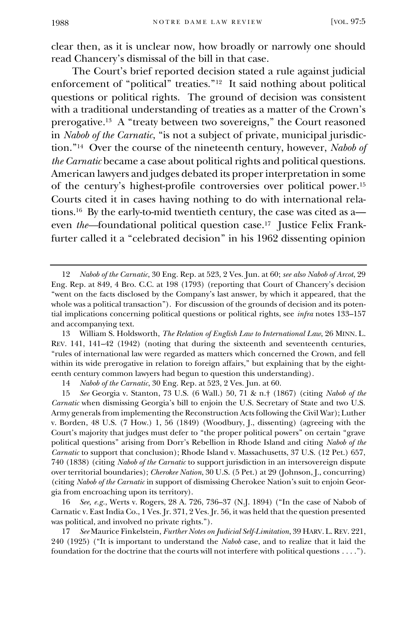clear then, as it is unclear now, how broadly or narrowly one should read Chancery's dismissal of the bill in that case.

The Court's brief reported decision stated a rule against judicial enforcement of "political" treaties."<sup>12</sup> It said nothing about political questions or political rights. The ground of decision was consistent with a traditional understanding of treaties as a matter of the Crown's prerogative.<sup>13</sup> A "treaty between two sovereigns," the Court reasoned in *Nabob of the Carnatic*, "is not a subject of private, municipal jurisdiction."<sup>14</sup> Over the course of the nineteenth century, however, *Nabob of the Carnatic* became a case about political rights and political questions. American lawyers and judges debated its proper interpretation in some of the century's highest-profile controversies over political power.<sup>15</sup> Courts cited it in cases having nothing to do with international relations.<sup>16</sup> By the early-to-mid twentieth century, the case was cited as a even *the—*foundational political question case.<sup>17</sup> Justice Felix Frankfurter called it a "celebrated decision" in his 1962 dissenting opinion

14 *Nabob of the Carnatic*, 30 Eng. Rep. at 523, 2 Ves. Jun. at 60.

15 *See* Georgia v. Stanton, 73 U.S. (6 Wall.) 50, 71 & n.† (1867) (citing *Nabob of the Carnatic* when dismissing Georgia's bill to enjoin the U.S. Secretary of State and two U.S. Army generals from implementing the Reconstruction Acts following the Civil War); Luther v. Borden, 48 U.S. (7 How.) 1, 56 (1849) (Woodbury, J., dissenting) (agreeing with the Court's majority that judges must defer to "the proper political powers" on certain "grave political questions" arising from Dorr's Rebellion in Rhode Island and citing *Nabob of the Carnatic* to support that conclusion); Rhode Island v. Massachusetts, 37 U.S. (12 Pet.) 657, 740 (1838) (citing *Nabob of the Carnatic* to support jurisdiction in an intersovereign dispute over territorial boundaries); *Cherokee Nation*, 30 U.S. (5 Pet.) at 29 (Johnson, J., concurring) (citing *Nabob of the Carnatic* in support of dismissing Cherokee Nation's suit to enjoin Georgia from encroaching upon its territory).

16 *See, e.g.*, Werts v. Rogers, 28 A. 726, 736–37 (N.J. 1894) ("In the case of Nabob of Carnatic v. East India Co., 1 Ves. Jr. 371, 2 Ves. Jr. 56, it was held that the question presented was political, and involved no private rights.").

17 *See* Maurice Finkelstein, *Further Notes on Judicial Self-Limitation*, 39 HARV. L.REV. 221, 240 (1925) ("It is important to understand the *Nabob* case, and to realize that it laid the foundation for the doctrine that the courts will not interfere with political questions . . . .").

<sup>12</sup> *Nabob of the Carnatic*, 30 Eng. Rep. at 523, 2 Ves. Jun. at 60; *see also Nabob of Arcot*, 29 Eng. Rep. at 849, 4 Bro. C.C. at 198 (1793) (reporting that Court of Chancery's decision "went on the facts disclosed by the Company's last answer, by which it appeared, that the whole was a political transaction"). For discussion of the grounds of decision and its potential implications concerning political questions or political rights, see *infra* notes [133](#page-18-0)–[157](#page-21-0) and accompanying text.

<sup>13</sup> William S. Holdsworth, *The Relation of English Law to International Law*, 26 MINN. L. REV. 141, 141–42 (1942) (noting that during the sixteenth and seventeenth centuries, "rules of international law were regarded as matters which concerned the Crown, and fell within its wide prerogative in relation to foreign affairs," but explaining that by the eighteenth century common lawyers had begun to question this understanding).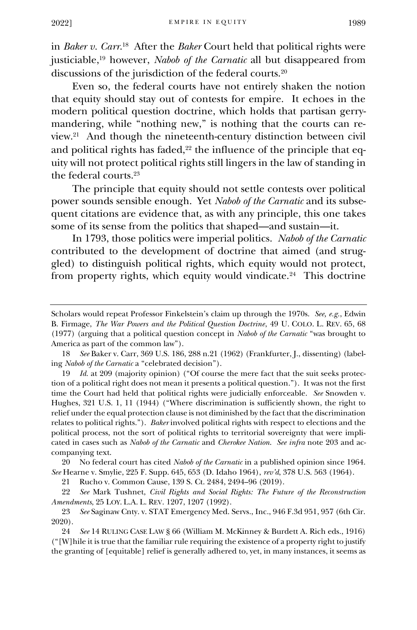in *Baker v. Carr*.<sup>18</sup> After the *Baker* Court held that political rights were justiciable,<sup>19</sup> however, *Nabob of the Carnatic* all but disappeared from discussions of the jurisdiction of the federal courts.<sup>20</sup>

Even so, the federal courts have not entirely shaken the notion that equity should stay out of contests for empire. It echoes in the modern political question doctrine, which holds that partisan gerrymandering, while "nothing new," is nothing that the courts can review.<sup>21</sup> And though the nineteenth-century distinction between civil and political rights has faded, $22$  the influence of the principle that equity will not protect political rights still lingers in the law of standing in the federal courts.<sup>23</sup>

The principle that equity should not settle contests over political power sounds sensible enough. Yet *Nabob of the Carnatic* and its subsequent citations are evidence that, as with any principle, this one takes some of its sense from the politics that shaped—and sustain—it.

In 1793, those politics were imperial politics. *Nabob of the Carnatic*  contributed to the development of doctrine that aimed (and struggled) to distinguish political rights, which equity would not protect, from property rights, which equity would vindicate.<sup>24</sup> This doctrine

Scholars would repeat Professor Finkelstein's claim up through the 1970s. *See, e.g.*, Edwin B. Firmage, *The War Powers and the Political Question Doctrine*, 49 U. COLO. L. REV. 65, 68 (1977) (arguing that a political question concept in *Nabob of the Carnatic* "was brought to America as part of the common law").

<sup>18</sup> *See* Baker v. Carr, 369 U.S. 186, 288 n.21 (1962) (Frankfurter, J., dissenting) (labeling *Nabob of the Carnatic* a "celebrated decision").

<sup>19</sup> *Id.* at 209 (majority opinion) ("Of course the mere fact that the suit seeks protection of a political right does not mean it presents a political question."). It was not the first time the Court had held that political rights were judicially enforceable. *See* Snowden v. Hughes, 321 U.S. 1, 11 (1944) ("Where discrimination is sufficiently shown, the right to relief under the equal protection clause is not diminished by the fact that the discrimination relates to political rights."). *Baker* involved political rights with respect to elections and the political process, not the sort of political rights to territorial sovereignty that were implicated in cases such as *Nabob of the Carnatic* and *Cherokee Nation*. *See infra* not[e 203](#page-28-0) and accompanying text.

<sup>20</sup> No federal court has cited *Nabob of the Carnatic* in a published opinion since 1964. *See* Hearne v. Smylie, 225 F. Supp. 645, 653 (D. Idaho 1964), *rev'd*, 378 U.S. 563 (1964).

<sup>21</sup> Rucho v. Common Cause, 139 S. Ct. 2484, 2494–96 (2019).

<sup>22</sup> *See* Mark Tushnet, *Civil Rights and Social Rights: The Future of the Reconstruction Amendments*, 25 LOY. L.A. L. REV. 1207, 1207 (1992).

<sup>23</sup> *See* Saginaw Cnty. v. STAT Emergency Med. Servs., Inc., 946 F.3d 951, 957 (6th Cir. 2020).

<sup>24</sup> *See* 14 RULING CASE LAW § 66 (William M. McKinney & Burdett A. Rich eds., 1916) ("[W]hile it is true that the familiar rule requiring the existence of a property right to justify the granting of [equitable] relief is generally adhered to, yet, in many instances, it seems as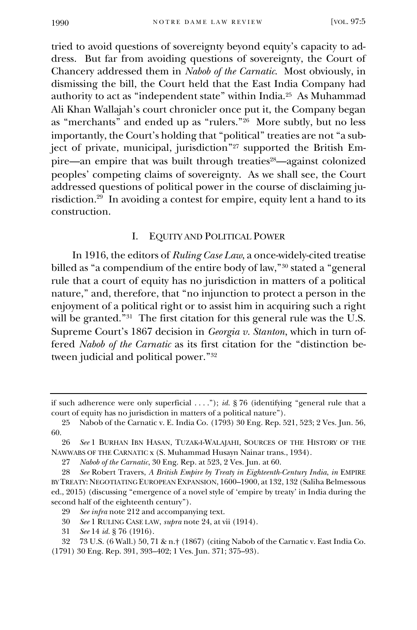tried to avoid questions of sovereignty beyond equity's capacity to address. But far from avoiding questions of sovereignty, the Court of Chancery addressed them in *Nabob of the Carnatic*. Most obviously, in dismissing the bill, the Court held that the East India Company had authority to act as "independent state" within India.<sup>25</sup> As Muhammad Ali Khan Wallajah's court chronicler once put it, the Company began as "merchants" and ended up as "rulers."<sup>26</sup> More subtly, but no less importantly, the Court's holding that "political" treaties are not "a subject of private, municipal, jurisdiction"<sup>27</sup> supported the British Empire—an empire that was built through treaties<sup>28</sup>—against colonized peoples' competing claims of sovereignty. As we shall see, the Court addressed questions of political power in the course of disclaiming jurisdiction.<sup>29</sup> In avoiding a contest for empire, equity lent a hand to its construction.

# I. EQUITY AND POLITICAL POWER

In 1916, the editors of *Ruling Case Law*, a once-widely-cited treatise billed as "a compendium of the entire body of law,"<sup>30</sup> stated a "general rule that a court of equity has no jurisdiction in matters of a political nature," and, therefore, that "no injunction to protect a person in the enjoyment of a political right or to assist him in acquiring such a right will be granted."<sup>31</sup> The first citation for this general rule was the U.S. Supreme Court's 1867 decision in *Georgia v. Stanton*, which in turn offered *Nabob of the Carnatic* as its first citation for the "distinction between judicial and political power."<sup>32</sup>

31 *See* 14 *id.* § 76 (1916).

if such adherence were only superficial . . . ."); *id.* § 76 (identifying "general rule that a court of equity has no jurisdiction in matters of a political nature").

<sup>25</sup> Nabob of the Carnatic v. E. India Co. (1793) 30 Eng. Rep. 521, 523; 2 Ves. Jun. 56, 60.

<sup>26</sup> *See* 1 BURHAN IBN HASAN, TUZAK-I-WALAJAHI, SOURCES OF THE HISTORY OF THE NAWWABS OF THE CARNATIC x (S. Muhammad Husayn Nainar trans., 1934).

<sup>27</sup> *Nabob of the Carnatic*, 30 Eng. Rep. at 523, 2 Ves. Jun. at 60.

<sup>28</sup> *See* Robert Travers, *A British Empire by Treaty in Eighteenth-Century India*, *in* EMPIRE BY TREATY: NEGOTIATING EUROPEAN EXPANSION, 1600–1900, at 132, 132 (Saliha Belmessous ed., 2015) (discussing "emergence of a novel style of 'empire by treaty' in India during the second half of the eighteenth century").

<sup>29</sup> *See infra* note 212 and accompanying text.

<sup>30</sup> *See* 1 RULING CASE LAW, *supra* note 24, at vii (1914).

<sup>32</sup> 73 U.S. (6 Wall.) 50, 71 & n.† (1867) (citing Nabob of the Carnatic v. East India Co. (1791) 30 Eng. Rep. 391, 393–402; 1 Ves. Jun. 371; 375–93).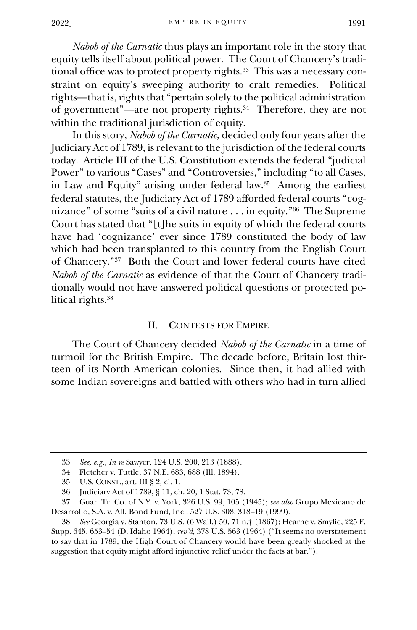*Nabob of the Carnatic* thus plays an important role in the story that equity tells itself about political power. The Court of Chancery's traditional office was to protect property rights.<sup>33</sup> This was a necessary constraint on equity's sweeping authority to craft remedies. Political rights—that is, rights that "pertain solely to the political administration of government"—are not property rights.<sup>34</sup> Therefore, they are not within the traditional jurisdiction of equity.

In this story, *Nabob of the Carnatic*, decided only four years after the Judiciary Act of 1789, is relevant to the jurisdiction of the federal courts today. Article III of the U.S. Constitution extends the federal "judicial Power" to various "Cases" and "Controversies," including "to all Cases, in Law and Equity" arising under federal law.<sup>35</sup> Among the earliest federal statutes, the Judiciary Act of 1789 afforded federal courts "cognizance" of some "suits of a civil nature . . . in equity."<sup>36</sup> The Supreme Court has stated that "[t]he suits in equity of which the federal courts have had 'cognizance' ever since 1789 constituted the body of law which had been transplanted to this country from the English Court of Chancery."<sup>37</sup> Both the Court and lower federal courts have cited *Nabob of the Carnatic* as evidence of that the Court of Chancery traditionally would not have answered political questions or protected political rights.<sup>38</sup>

#### II. CONTESTS FOR EMPIRE

The Court of Chancery decided *Nabob of the Carnatic* in a time of turmoil for the British Empire. The decade before, Britain lost thirteen of its North American colonies. Since then, it had allied with some Indian sovereigns and battled with others who had in turn allied

<sup>33</sup> *See, e.g.*, *In re* Sawyer, 124 U.S. 200, 213 (1888).

<sup>34</sup> Fletcher v. Tuttle, 37 N.E. 683, 688 (Ill. 1894).

<sup>35</sup> U.S. CONST., art. III § 2, cl. 1.

<sup>36</sup> Judiciary Act of 1789, § 11, ch. 20, 1 Stat. 73, 78.

<sup>37</sup> Guar. Tr. Co. of N.Y. v. York, 326 U.S. 99, 105 (1945); *see also* Grupo Mexicano de Desarrollo, S.A. v. All. Bond Fund, Inc., 527 U.S. 308, 318–19 (1999).

<sup>38</sup> *See* Georgia v. Stanton, 73 U.S. (6 Wall.) 50, 71 n.† (1867); Hearne v. Smylie, 225 F. Supp. 645, 653–54 (D. Idaho 1964), *rev'd*, 378 U.S. 563 (1964) ("It seems no overstatement to say that in 1789, the High Court of Chancery would have been greatly shocked at the suggestion that equity might afford injunctive relief under the facts at bar.").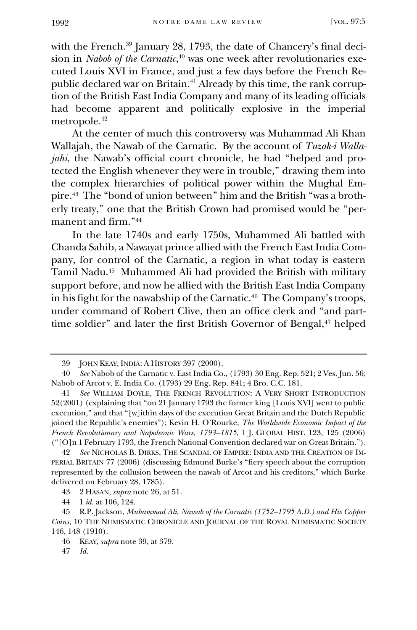with the French.<sup>39</sup> January 28, 1793, the date of Chancery's final decision in *Nabob of the Carnatic*, <sup>40</sup> was one week after revolutionaries executed Louis XVI in France, and just a few days before the French Republic declared war on Britain.<sup>41</sup> Already by this time, the rank corruption of the British East India Company and many of its leading officials had become apparent and politically explosive in the imperial metropole.<sup>42</sup>

At the center of much this controversy was Muhammad Ali Khan Wallajah, the Nawab of the Carnatic. By the account of *Tuzak-i Wallajahi*, the Nawab's official court chronicle, he had "helped and protected the English whenever they were in trouble," drawing them into the complex hierarchies of political power within the Mughal Empire.<sup>43</sup> The "bond of union between" him and the British "was a brotherly treaty," one that the British Crown had promised would be "permanent and firm."<sup>44</sup>

In the late 1740s and early 1750s, Muhammed Ali battled with Chanda Sahib, a Nawayat prince allied with the French East India Company, for control of the Carnatic, a region in what today is eastern Tamil Nadu.<sup>45</sup> Muhammed Ali had provided the British with military support before, and now he allied with the British East India Company in his fight for the nawabship of the Carnatic.<sup>46</sup> The Company's troops, under command of Robert Clive, then an office clerk and "and parttime soldier" and later the first British Governor of Bengal,<sup>47</sup> helped

<sup>39</sup> **JOHN KEAY, INDIA: A HISTORY 397 (2000).** 

<sup>40</sup> *See* Nabob of the Carnatic v. East India Co., (1793) 30 Eng. Rep. 521; 2 Ves. Jun. 56; Nabob of Arcot v. E. India Co. (1793) 29 Eng. Rep. 841; 4 Bro. C.C. 181.

<sup>41</sup> *See* WILLIAM DOYLE, THE FRENCH REVOLUTION: A VERY SHORT INTRODUCTION 52(2001) (explaining that "on 21 January 1793 the former king [Louis XVI] went to public execution," and that "[w]ithin days of the execution Great Britain and the Dutch Republic joined the Republic's enemies"); Kevin H. O'Rourke, *The Worldwide Economic Impact of the French Revolutionary and Napoleonic Wars, 1793–1815*, 1 J. GLOBAL HIST. 123, 125 (2006) ("[O]n 1 February 1793, the French National Convention declared war on Great Britain.").

<sup>42</sup> *See* NICHOLAS B. DIRKS, THE SCANDAL OF EMPIRE: INDIA AND THE CREATION OF IM-PERIAL BRITAIN 77 (2006) (discussing Edmund Burke's "fiery speech about the corruption represented by the collusion between the nawab of Arcot and his creditors," which Burke delivered on February 28, 1785).

<sup>43</sup> 2 HASAN, *supra* note 26, at 51.

<sup>44</sup> 1 *id.* at 106, 124.

<sup>45</sup> R.P. Jackson, *Muhammad Ali, Nawab of the Carnatic (1752–1795 A.D.) and His Copper Coins*, 10 THE NUMISMATIC CHRONICLE AND JOURNAL OF THE ROYAL NUMISMATIC SOCIETY 146, 148 (1910).

<sup>46</sup> KEAY, *supra* note 39, at 379.

<sup>47</sup> *Id.*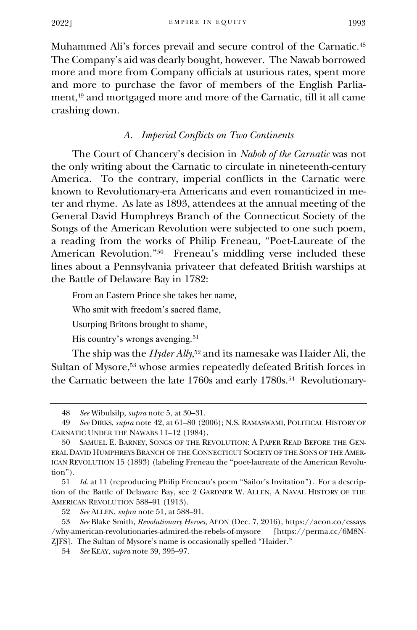Muhammed Ali's forces prevail and secure control of the Carnatic.<sup>48</sup> The Company's aid was dearly bought, however. The Nawab borrowed more and more from Company officials at usurious rates, spent more and more to purchase the favor of members of the English Parliament,<sup>49</sup> and mortgaged more and more of the Carnatic, till it all came crashing down.

## *A. Imperial Conflicts on Two Continents*

The Court of Chancery's decision in *Nabob of the Carnatic* was not the only writing about the Carnatic to circulate in nineteenth-century America. To the contrary, imperial conflicts in the Carnatic were known to Revolutionary-era Americans and even romanticized in meter and rhyme. As late as 1893, attendees at the annual meeting of the General David Humphreys Branch of the Connecticut Society of the Songs of the American Revolution were subjected to one such poem, a reading from the works of Philip Freneau, "Poet-Laureate of the American Revolution."<sup>50</sup> Freneau's middling verse included these lines about a Pennsylvania privateer that defeated British warships at the Battle of Delaware Bay in 1782:

From an Eastern Prince she takes her name,

Who smit with freedom's sacred flame,

Usurping Britons brought to shame,

His country's wrongs avenging.<sup>51</sup>

The ship was the *Hyder Ally*, <sup>52</sup> and its namesake was Haider Ali, the Sultan of Mysore,<sup>53</sup> whose armies repeatedly defeated British forces in the Carnatic between the late 1760s and early 1780s.<sup>54</sup> Revolutionary-

52 *See* ALLEN, *supra* note 51, at 588–91.

<sup>48</sup> *See* Wibulsilp, *supra* note 5, at 30–31.

<sup>49</sup> *See* DIRKS, *supra* note 42, at 61–80 (2006); N.S. RAMASWAMI, POLITICAL HISTORY OF CARNATIC UNDER THE NAWABS 11–12 (1984).

<sup>50</sup> SAMUEL E. BARNEY, SONGS OF THE REVOLUTION: A PAPER READ BEFORE THE GEN-ERAL DAVID HUMPHREYS BRANCH OF THE CONNECTICUT SOCIETY OF THE SONS OF THE AMER-ICAN REVOLUTION 15 (1893) (labeling Freneau the "poet-laureate of the American Revolution").

<sup>51</sup> *Id.* at 11 (reproducing Philip Freneau's poem "Sailor's Invitation"). For a description of the Battle of Delaware Bay, see 2 GARDNER W. ALLEN, A NAVAL HISTORY OF THE AMERICAN REVOLUTION 588–91 (1913).

<sup>53</sup> *See* Blake Smith, *Revolutionary Heroes*, AEON (Dec. 7, 2016), https://aeon.co/essays /why-american-revolutionaries-admired-the-rebels-of-mysore [https://perma.cc/6M8N-ZJFS]. The Sultan of Mysore's name is occasionally spelled "Haider."

<sup>54</sup> *See* KEAY, *supra* note 39, 395–97.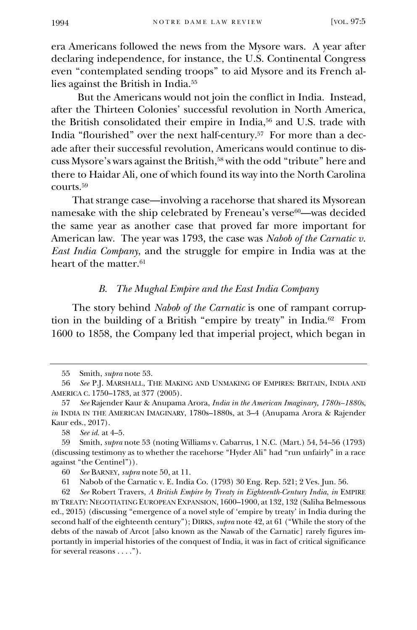era Americans followed the news from the Mysore wars. A year after declaring independence, for instance, the U.S. Continental Congress even "contemplated sending troops" to aid Mysore and its French allies against the British in India.<sup>55</sup>

 But the Americans would not join the conflict in India. Instead, after the Thirteen Colonies' successful revolution in North America, the British consolidated their empire in India,<sup>56</sup> and U.S. trade with India "flourished" over the next half-century.<sup>57</sup> For more than a decade after their successful revolution, Americans would continue to discuss Mysore's wars against the British,<sup>58</sup> with the odd "tribute" here and there to Haidar Ali, one of which found its way into the North Carolina courts.<sup>59</sup>

That strange case—involving a racehorse that shared its Mysorean namesake with the ship celebrated by Freneau's verse<sup>60</sup>—was decided the same year as another case that proved far more important for American law. The year was 1793, the case was *Nabob of the Carnatic v. East India Company*, and the struggle for empire in India was at the heart of the matter.<sup>61</sup>

#### *B. The Mughal Empire and the East India Company*

The story behind *Nabob of the Carnatic* is one of rampant corruption in the building of a British "empire by treaty" in India.<sup>62</sup> From 1600 to 1858, the Company led that imperial project, which began in

<sup>55</sup> Smith, *supra* note 53.

<sup>56</sup> *See* P.J. MARSHALL, THE MAKING AND UNMAKING OF EMPIRES: BRITAIN, INDIA AND AMERICA C. 1750–1783, at 377 (2005).

<sup>57</sup> *See* Rajender Kaur & Anupama Arora, *India in the American Imaginary, 1780s–1880s*, *in* INDIA IN THE AMERICAN IMAGINARY, 1780s–1880s, at 3–4 (Anupama Arora & Rajender Kaur eds., 2017).

<sup>58</sup> *See id.* at 4–5.

<sup>59</sup> Smith, *supra* note 53 (noting Williams v. Cabarrus, 1 N.C. (Mart.) 54, 54–56 (1793) (discussing testimony as to whether the racehorse "Hyder Ali" had "run unfairly" in a race against "the Centinel")).

<sup>60</sup> *See* BARNEY, *supra* note 50, at 11.

<sup>61</sup> Nabob of the Carnatic v. E. India Co. (1793) 30 Eng. Rep. 521; 2 Ves. Jun. 56.

<sup>62</sup> *See* Robert Travers, *A British Empire by Treaty in Eighteenth-Century India*, *in* EMPIRE BY TREATY: NEGOTIATING EUROPEAN EXPANSION, 1600–1900, at 132, 132 (Saliha Belmessous ed., 2015) (discussing "emergence of a novel style of 'empire by treaty' in India during the second half of the eighteenth century"); DIRKS, *supra* note 42, at 61 ("While the story of the debts of the nawab of Arcot [also known as the Nawab of the Carnatic] rarely figures importantly in imperial histories of the conquest of India, it was in fact of critical significance for several reasons . . . .").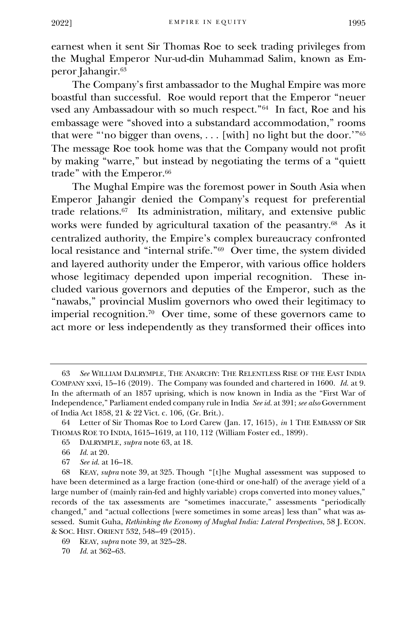earnest when it sent Sir Thomas Roe to seek trading privileges from the Mughal Emperor Nur-ud-din Muhammad Salim, known as Emperor Jahangir.<sup>63</sup>

The Company's first ambassador to the Mughal Empire was more boastful than successful. Roe would report that the Emperor "neuer vsed any Ambassadour with so much respect."<sup>64</sup> In fact, Roe and his embassage were "shoved into a substandard accommodation," rooms that were "'no bigger than ovens, . . . [with] no light but the door.'" 65 The message Roe took home was that the Company would not profit by making "warre," but instead by negotiating the terms of a "quiett trade" with the Emperor.<sup>66</sup>

The Mughal Empire was the foremost power in South Asia when Emperor Jahangir denied the Company's request for preferential trade relations.<sup>67</sup> Its administration, military, and extensive public works were funded by agricultural taxation of the peasantry. 68 As it centralized authority, the Empire's complex bureaucracy confronted local resistance and "internal strife."<sup>69</sup> Over time, the system divided and layered authority under the Emperor, with various office holders whose legitimacy depended upon imperial recognition. These included various governors and deputies of the Emperor, such as the "nawabs," provincial Muslim governors who owed their legitimacy to imperial recognition.<sup>70</sup> Over time, some of these governors came to act more or less independently as they transformed their offices into

67 *See id.* at 16–18.

<sup>63</sup> *See* WILLIAM DALRYMPLE, THE ANARCHY: THE RELENTLESS RISE OF THE EAST INDIA COMPANY xxvi, 15–16 (2019). The Company was founded and chartered in 1600. *Id.* at 9. In the aftermath of an 1857 uprising, which is now known in India as the "First War of Independence," Parliament ended company rule in India *See id.* at 391; *see also* Government of India Act 1858, 21 & 22 Vict. c. 106, (Gr. Brit.).

<sup>64</sup> Letter of Sir Thomas Roe to Lord Carew (Jan. 17, 1615), *in* 1 THE EMBASSY OF SIR THOMAS ROE TO INDIA, 1615–1619, at 110, 112 (William Foster ed., 1899).

<sup>65</sup> DALRYMPLE, *supra* note 63, at 18.

<sup>66</sup> *Id.* at 20.

<sup>68</sup> KEAY, *supra* note 39, at 325. Though "[t]he Mughal assessment was supposed to have been determined as a large fraction (one-third or one-half) of the average yield of a large number of (mainly rain-fed and highly variable) crops converted into money values," records of the tax assessments are "sometimes inaccurate," assessments "periodically changed," and "actual collections [were sometimes in some areas] less than" what was assessed. Sumit Guha, *Rethinking the Economy of Mughal India: Lateral Perspectives*, 58 J. ECON. & SOC. HIST. ORIENT 532, 548–49 (2015).

<sup>69</sup> KEAY, *supra* note 39, at 325–28.

<sup>70</sup> *Id.* at 362–63.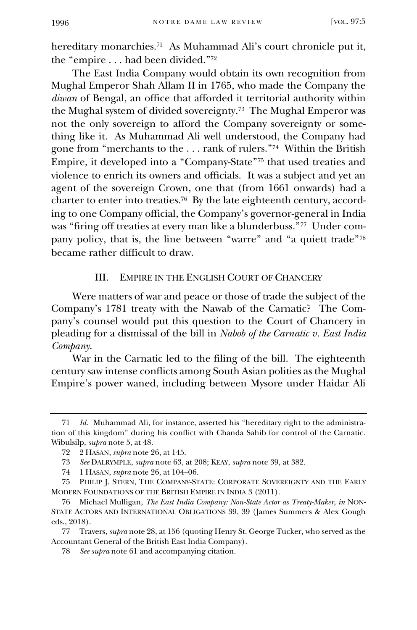hereditary monarchies.<sup>71</sup> As Muhammad Ali's court chronicle put it, the "empire . . . had been divided."<sup>72</sup>

The East India Company would obtain its own recognition from Mughal Emperor Shah Allam II in 1765, who made the Company the *diwan* of Bengal, an office that afforded it territorial authority within the Mughal system of divided sovereignty.<sup>73</sup> The Mughal Emperor was not the only sovereign to afford the Company sovereignty or something like it. As Muhammad Ali well understood, the Company had gone from "merchants to the . . . rank of rulers."<sup>74</sup> Within the British Empire, it developed into a "Company-State"<sup>75</sup> that used treaties and violence to enrich its owners and officials. It was a subject and yet an agent of the sovereign Crown, one that (from 1661 onwards) had a charter to enter into treaties.<sup>76</sup> By the late eighteenth century, according to one Company official, the Company's governor-general in India was "firing off treaties at every man like a blunderbuss."<sup>77</sup> Under company policy, that is, the line between "warre" and "a quiett trade"<sup>78</sup> became rather difficult to draw.

#### III. EMPIRE IN THE ENGLISH COURT OF CHANCERY

Were matters of war and peace or those of trade the subject of the Company's 1781 treaty with the Nawab of the Carnatic? The Company's counsel would put this question to the Court of Chancery in pleading for a dismissal of the bill in *Nabob of the Carnatic v. East India Company*.

War in the Carnatic led to the filing of the bill. The eighteenth century saw intense conflicts among South Asian polities as the Mughal Empire's power waned, including between Mysore under Haidar Ali

<sup>71</sup> *Id.* Muhammad Ali, for instance, asserted his "hereditary right to the administration of this kingdom" during his conflict with Chanda Sahib for control of the Carnatic. Wibulsilp, *supra* note 5, at 48.

<sup>72</sup> 2 HASAN, *supra* note 26, at 145.

<sup>73</sup> *See* DALRYMPLE, *supra* note 63, at 208; KEAY, *supra* note 39, at 382.

<sup>74</sup> 1 HASAN, *supra* note 26, at 104–06.

<sup>75</sup> PHILIP J. STERN, THE COMPANY-STATE: CORPORATE SOVEREIGNTY AND THE EARLY MODERN FOUNDATIONS OF THE BRITISH EMPIRE IN INDIA 3 (2011).

<sup>76</sup> Michael Mulligan, *The East India Company: Non-State Actor as Treaty-Maker*, *in* NON-STATE ACTORS AND INTERNATIONAL OBLIGATIONS 39, 39 (James Summers & Alex Gough eds., 2018).

<sup>77</sup> Travers, *supra* note 28, at 156 (quoting Henry St. George Tucker, who served as the Accountant General of the British East India Company).

<sup>78</sup> *See supra* note 61 and accompanying citation.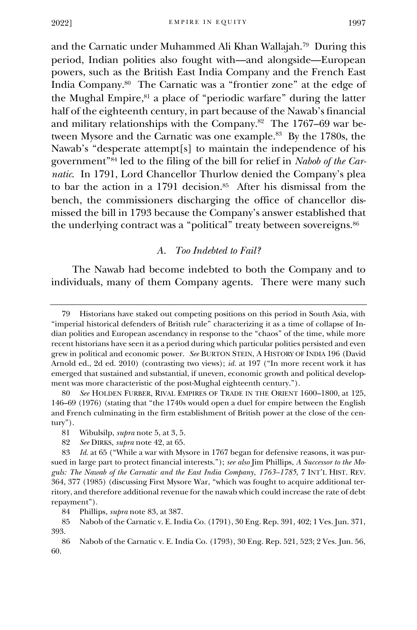2022] EMPIRE IN EQUITY 1997

and the Carnatic under Muhammed Ali Khan Wallajah.<sup>79</sup> During this period, Indian polities also fought with—and alongside—European powers, such as the British East India Company and the French East India Company.<sup>80</sup> The Carnatic was a "frontier zone" at the edge of the Mughal Empire, <sup>81</sup> a place of "periodic warfare" during the latter half of the eighteenth century, in part because of the Nawab's financial and military relationships with the Company.<sup>82</sup> The 1767–69 war between Mysore and the Carnatic was one example. 83 By the 1780s, the Nawab's "desperate attempt[s] to maintain the independence of his government"<sup>84</sup> led to the filing of the bill for relief in *Nabob of the Carnatic*. In 1791, Lord Chancellor Thurlow denied the Company's plea to bar the action in a 1791 decision.<sup>85</sup> After his dismissal from the bench, the commissioners discharging the office of chancellor dismissed the bill in 1793 because the Company's answer established that the underlying contract was a "political" treaty between sovereigns.<sup>86</sup>

# *A. Too Indebted to Fail?*

The Nawab had become indebted to both the Company and to individuals, many of them Company agents. There were many such

<sup>79</sup> Historians have staked out competing positions on this period in South Asia, with "imperial historical defenders of British rule" characterizing it as a time of collapse of Indian polities and European ascendancy in response to the "chaos" of the time, while more recent historians have seen it as a period during which particular polities persisted and even grew in political and economic power. *See* BURTON STEIN, A HISTORY OF INDIA 196 (David Arnold ed., 2d ed. 2010) (contrasting two views); *id.* at 197 ("In more recent work it has emerged that sustained and substantial, if uneven, economic growth and political development was more characteristic of the post-Mughal eighteenth century.").

<sup>80</sup> *See* HOLDEN FURBER, RIVAL EMPIRES OF TRADE IN THE ORIENT 1600–1800, at 125, 146–69 (1976) (stating that "the 1740s would open a duel for empire between the English and French culminating in the firm establishment of British power at the close of the century").

<sup>81</sup> Wibulsilp, *supra* note 5, at 3, 5.

<sup>82</sup> *See* DIRKS, *supra* note 42, at 65.

<sup>83</sup> *Id.* at 65 ("While a war with Mysore in 1767 began for defensive reasons, it was pursued in large part to protect financial interests."); *see also* Jim Phillips, *A Successor to the Moguls: The Nawab of the Carnatic and the East India Company, 1763–1785*, 7 INT'L HIST. REV. 364, 377 (1985) (discussing First Mysore War, "which was fought to acquire additional territory, and therefore additional revenue for the nawab which could increase the rate of debt repayment").

<sup>84</sup> Phillips, *supra* note 83, at 387.

<sup>85</sup> Nabob of the Carnatic v. E. India Co. (1791), 30 Eng. Rep. 391, 402; 1 Ves. Jun. 371, 393.

<sup>86</sup> Nabob of the Carnatic v. E. India Co. (1793), 30 Eng. Rep. 521, 523; 2 Ves. Jun. 56, 60.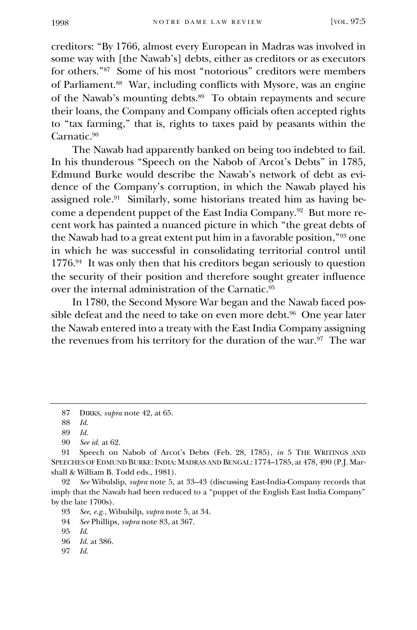creditors: "By 1766, almost every European in Madras was involved in some way with [the Nawab's] debts, either as creditors or as executors for others."<sup>87</sup> Some of his most "notorious" creditors were members of Parliament.<sup>88</sup> War, including conflicts with Mysore, was an engine of the Nawab's mounting debts.<sup>89</sup> To obtain repayments and secure their loans, the Company and Company officials often accepted rights to "tax farming," that is, rights to taxes paid by peasants within the Carnatic.<sup>90</sup>

The Nawab had apparently banked on being too indebted to fail. In his thunderous "Speech on the Nabob of Arcot's Debts" in 1785, Edmund Burke would describe the Nawab's network of debt as evidence of the Company's corruption, in which the Nawab played his assigned role.<sup>91</sup> Similarly, some historians treated him as having become a dependent puppet of the East India Company.<sup>92</sup> But more recent work has painted a nuanced picture in which "the great debts of the Nawab had to a great extent put him in a favorable position,"<sup>93</sup> one in which he was successful in consolidating territorial control until 1776.<sup>94</sup> It was only then that his creditors began seriously to question the security of their position and therefore sought greater influence over the internal administration of the Carnatic.<sup>95</sup>

In 1780, the Second Mysore War began and the Nawab faced possible defeat and the need to take on even more debt.<sup>96</sup> One year later the Nawab entered into a treaty with the East India Company assigning the revenues from his territory for the duration of the war.<sup>97</sup> The war

93 *See, e.g.*, Wibulsilp, *supra* note 5, at 34.

97 *Id.* 

<sup>87</sup> DIRKS, *supra* note 42, at 65.

<sup>88</sup> *Id.*

<sup>89</sup> *Id.*

<sup>90</sup> *See id.* at 62.

<sup>91</sup> Speech on Nabob of Arcot's Debts (Feb. 28, 1785), *in* 5 THE WRITINGS AND SPEECHES OF EDMUND BURKE: INDIA: MADRAS AND BENGAL: 1774-1785, at 478, 490 (P.J. Marshall & William B. Todd eds., 1981).

<sup>92</sup> *See* Wibulslip, *supra* note [5,](#page-1-0) at 33–43 (discussing East-India-Company records that imply that the Nawab had been reduced to a "puppet of the English East India Company" by the late 1700s).

<sup>94</sup> *See* Phillips, *supra* note 83, at 367.

<sup>95</sup> *Id.*

<sup>96</sup> *Id.* at 386.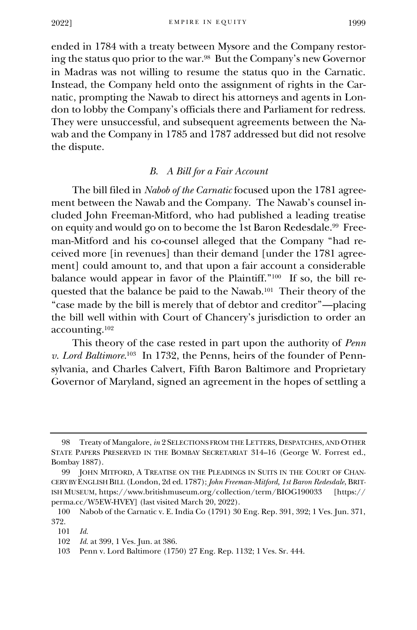2022] EMPIRE IN EQUITY 1999

ended in 1784 with a treaty between Mysore and the Company restoring the status quo prior to the war.<sup>98</sup> But the Company's new Governor in Madras was not willing to resume the status quo in the Carnatic. Instead, the Company held onto the assignment of rights in the Carnatic, prompting the Nawab to direct his attorneys and agents in London to lobby the Company's officials there and Parliament for redress. They were unsuccessful, and subsequent agreements between the Nawab and the Company in 1785 and 1787 addressed but did not resolve the dispute.

# *B. A Bill for a Fair Account*

The bill filed in *Nabob of the Carnatic* focused upon the 1781 agreement between the Nawab and the Company. The Nawab's counsel included John Freeman-Mitford, who had published a leading treatise on equity and would go on to become the 1st Baron Redesdale.<sup>99</sup> Freeman-Mitford and his co-counsel alleged that the Company "had received more [in revenues] than their demand [under the 1781 agreement] could amount to, and that upon a fair account a considerable balance would appear in favor of the Plaintiff."<sup>100</sup> If so, the bill requested that the balance be paid to the Nawab.<sup>101</sup> Their theory of the "case made by the bill is merely that of debtor and creditor"—placing the bill well within with Court of Chancery's jurisdiction to order an accounting.<sup>102</sup>

This theory of the case rested in part upon the authority of *Penn v. Lord Baltimore*.<sup>103</sup> In 1732, the Penns, heirs of the founder of Pennsylvania, and Charles Calvert, Fifth Baron Baltimore and Proprietary Governor of Maryland, signed an agreement in the hopes of settling a

<sup>98</sup> Treaty of Mangalore, *in* 2 SELECTIONS FROM THE LETTERS, DESPATCHES, AND OTHER STATE PAPERS PRESERVED IN THE BOMBAY SECRETARIAT 314–16 (George W. Forrest ed., Bombay 1887).

<sup>99</sup> JOHN MITFORD, A TREATISE ON THE PLEADINGS IN SUITS IN THE COURT OF CHAN-CERY BY ENGLISH BILL (London, 2d ed. 1787); *John Freeman-Mitford, 1st Baron Redesdale*, BRIT-ISH MUSEUM, https://www.britishmuseum.org/collection/term/BIOG190033 [https:// perma.cc/W5EW-HVEY] (last visited March 20, 2022).

<sup>100</sup> Nabob of the Carnatic v. E. India Co (1791) 30 Eng. Rep. 391, 392; 1 Ves. Jun. 371, 372.

<sup>101</sup> *Id.*

<sup>102</sup> *Id.* at 399, 1 Ves. Jun. at 386.

<sup>103</sup> Penn v. Lord Baltimore (1750) 27 Eng. Rep. 1132; 1 Ves. Sr. 444.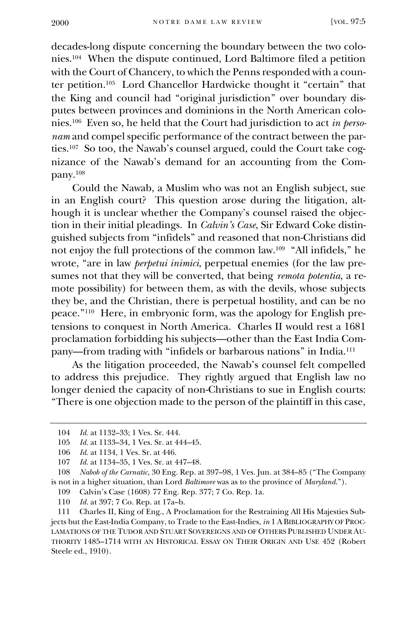decades-long dispute concerning the boundary between the two colonies.<sup>104</sup> When the dispute continued, Lord Baltimore filed a petition with the Court of Chancery, to which the Penns responded with a counter petition.<sup>105</sup> Lord Chancellor Hardwicke thought it "certain" that the King and council had "original jurisdiction" over boundary disputes between provinces and dominions in the North American colonies.<sup>106</sup> Even so, he held that the Court had jurisdiction to act *in personam* and compel specific performance of the contract between the parties.<sup>107</sup> So too, the Nawab's counsel argued, could the Court take cognizance of the Nawab's demand for an accounting from the Company.<sup>108</sup>

Could the Nawab, a Muslim who was not an English subject, sue in an English court? This question arose during the litigation, although it is unclear whether the Company's counsel raised the objection in their initial pleadings. In *Calvin's Case*, Sir Edward Coke distinguished subjects from "infidels" and reasoned that non-Christians did not enjoy the full protections of the common law.<sup>109</sup> "All infidels," he wrote, "are in law *perpetui inimici*, perpetual enemies (for the law presumes not that they will be converted, that being *remota potentia*, a remote possibility) for between them, as with the devils, whose subjects they be, and the Christian, there is perpetual hostility, and can be no peace."<sup>110</sup> Here, in embryonic form, was the apology for English pretensions to conquest in North America. Charles II would rest a 1681 proclamation forbidding his subjects—other than the East India Company—from trading with "infidels or barbarous nations" in India.<sup>111</sup>

As the litigation proceeded, the Nawab's counsel felt compelled to address this prejudice. They rightly argued that English law no longer denied the capacity of non-Christians to sue in English courts: "There is one objection made to the person of the plaintiff in this case,

<sup>104</sup> *Id.* at 1132–33; 1 Ves. Sr. 444.

<sup>105</sup> *Id.* at 1133–34, 1 Ves. Sr. at 444–45.

<sup>106</sup> *Id.* at 1134, 1 Ves. Sr. at 446.

<sup>107</sup> *Id.* at 1134–35, 1 Ves. Sr. at 447–48.

<sup>108</sup> *Nabob of the Carnatic*, 30 Eng. Rep. at 397–98, 1 Ves. Jun. at 384–85 ("The Company is not in a higher situation, than Lord *Baltimore* was as to the province of *Maryland*.").

<sup>109</sup> Calvin's Case (1608) 77 Eng. Rep. 377; 7 Co. Rep. 1a.

<sup>110</sup> *Id.* at 397; 7 Co. Rep. at 17a–b.

<sup>111</sup> Charles II, King of Eng., A Proclamation for the Restraining All His Majesties Subjects but the East-India Company, to Trade to the East-Indies, *in* 1 A BIBLIOGRAPHY OF PROC-LAMATIONS OF THE TUDOR AND STUART SOVEREIGNS AND OF OTHERS PUBLISHED UNDER AU-THORITY 1485–1714 WITH AN HISTORICAL ESSAY ON THEIR ORIGIN AND USE 452 (Robert Steele ed., 1910).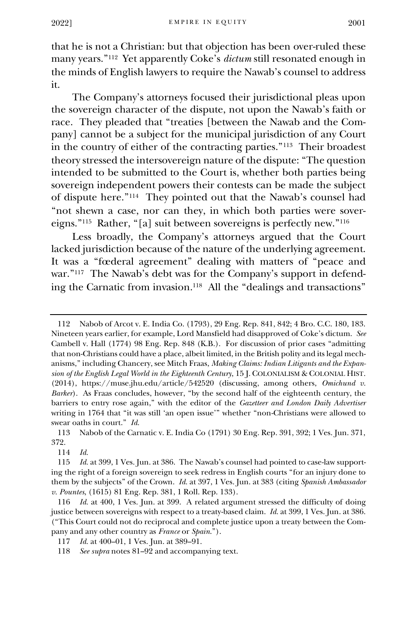that he is not a Christian: but that objection has been over-ruled these many years." 112 Yet apparently Coke's *dictum* still resonated enough in the minds of English lawyers to require the Nawab's counsel to address it.

The Company's attorneys focused their jurisdictional pleas upon the sovereign character of the dispute, not upon the Nawab's faith or race. They pleaded that "treaties [between the Nawab and the Company] cannot be a subject for the municipal jurisdiction of any Court in the country of either of the contracting parties."<sup>113</sup> Their broadest theory stressed the intersovereign nature of the dispute: "The question intended to be submitted to the Court is, whether both parties being sovereign independent powers their contests can be made the subject of dispute here."<sup>114</sup> They pointed out that the Nawab's counsel had "not shewn a case, nor can they, in which both parties were sovereigns."<sup>115</sup> Rather, "[a] suit between sovereigns is perfectly new."<sup>116</sup>

Less broadly, the Company's attorneys argued that the Court lacked jurisdiction because of the nature of the underlying agreement. It was a "fœderal agreement" dealing with matters of "peace and war."<sup>117</sup> The Nawab's debt was for the Company's support in defending the Carnatic from invasion.<sup>118</sup> All the "dealings and transactions"

<sup>112</sup> Nabob of Arcot v. E. India Co. (1793), 29 Eng. Rep. 841, 842; 4 Bro. C.C. 180, 183. Nineteen years earlier, for example, Lord Mansfield had disapproved of Coke's dictum. *See*  Cambell v. Hall (1774) 98 Eng. Rep. 848 (K.B.). For discussion of prior cases "admitting that non-Christians could have a place, albeit limited, in the British polity and its legal mechanisms," including Chancery, see Mitch Fraas, *Making Claims: Indian Litigants and the Expansion of the English Legal World in the Eighteenth Century*, 15 J. COLONIALISM & COLONIAL HIST. (2014), https://muse.jhu.edu/article/542520 (discussing, among others, *Omichund v. Barker*). As Fraas concludes, however, "by the second half of the eighteenth century, the barriers to entry rose again," with the editor of the *Gazetteer and London Daily Advertiser*  writing in 1764 that "it was still 'an open issue'" whether "non-Christians were allowed to swear oaths in court." *Id.*

<sup>113</sup> Nabob of the Carnatic v. E. India Co (1791) 30 Eng. Rep. 391, 392; 1 Ves. Jun. 371, 372.

<sup>114</sup> *Id.* 

<sup>115</sup> *Id.* at 399, 1 Ves. Jun. at 386. The Nawab's counsel had pointed to case-law supporting the right of a foreign sovereign to seek redress in English courts "for an injury done to them by the subjects" of the Crown. *Id.* at 397, 1 Ves. Jun. at 383 (citing *Spanish Ambassador v. Pountes*, (1615) 81 Eng. Rep. 381, 1 Roll. Rep. 133).

<sup>116</sup> *Id.* at 400, 1 Ves. Jun. at 399. A related argument stressed the difficulty of doing justice between sovereigns with respect to a treaty-based claim. *Id.* at 399, 1 Ves. Jun. at 386. ("This Court could not do reciprocal and complete justice upon a treaty between the Company and any other country as *France* or *Spain*.").

<sup>117</sup> *Id.* at 400–01, 1 Ves. Jun. at 389–91.

<sup>118</sup> *See supra* notes 81–92 and accompanying text.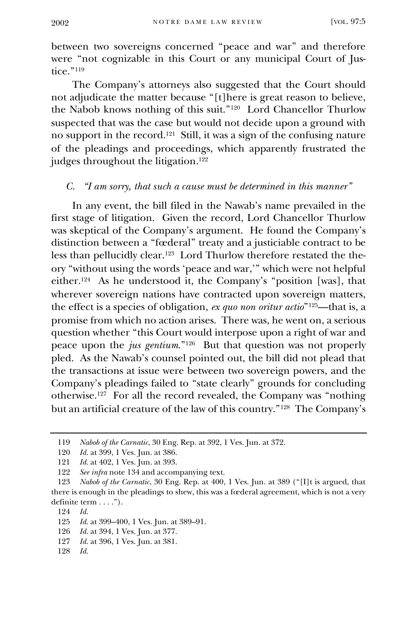between two sovereigns concerned "peace and war" and therefore were "not cognizable in this Court or any municipal Court of Justice."<sup>119</sup>

The Company's attorneys also suggested that the Court should not adjudicate the matter because "[t]here is great reason to believe, the Nabob knows nothing of this suit."<sup>120</sup> Lord Chancellor Thurlow suspected that was the case but would not decide upon a ground with no support in the record.<sup>121</sup> Still, it was a sign of the confusing nature of the pleadings and proceedings, which apparently frustrated the judges throughout the litigation.<sup>122</sup>

## *C. "I am sorry, that such a cause must be determined in this manner"*

In any event, the bill filed in the Nawab's name prevailed in the first stage of litigation. Given the record, Lord Chancellor Thurlow was skeptical of the Company's argument. He found the Company's distinction between a "fœderal" treaty and a justiciable contract to be less than pellucidly clear.<sup>123</sup> Lord Thurlow therefore restated the theory "without using the words 'peace and war,'" which were not helpful either.<sup>124</sup> As he understood it, the Company's "position [was], that wherever sovereign nations have contracted upon sovereign matters, the effect is a species of obligation, *ex quo non oritur actio*" <sup>125</sup>—that is, a promise from which no action arises. There was, he went on, a serious question whether "this Court would interpose upon a right of war and peace upon the *jus gentium*."<sup>126</sup> But that question was not properly pled. As the Nawab's counsel pointed out, the bill did not plead that the transactions at issue were between two sovereign powers, and the Company's pleadings failed to "state clearly" grounds for concluding otherwise.<sup>127</sup> For all the record revealed, the Company was "nothing but an artificial creature of the law of this country."<sup>128</sup> The Company's

<sup>119</sup> *Nabob of the Carnatic*, 30 Eng. Rep. at 392, 1 Ves. Jun. at 372.

<sup>120</sup> *Id.* at 399, 1 Ves. Jun. at 386.

<sup>121</sup> *Id.* at 402, 1 Ves. Jun. at 393.

<sup>122</sup> *See infra* note 134 and accompanying text.

<sup>123</sup> *Nabob of the Carnatic*, 30 Eng. Rep. at 400, 1 Ves. Jun. at 389 ("[I]t is argued, that there is enough in the pleadings to shew, this was a fœderal agreement, which is not a very definite term . . . .").

<sup>124</sup> *Id.* 

<sup>125</sup> *Id.* at 399–400, 1 Ves. Jun. at 389–91.

<sup>126</sup> *Id.* at 394, 1 Ves. Jun. at 377.

<sup>127</sup> *Id.* at 396, 1 Ves. Jun. at 381.

<sup>128</sup> *Id.*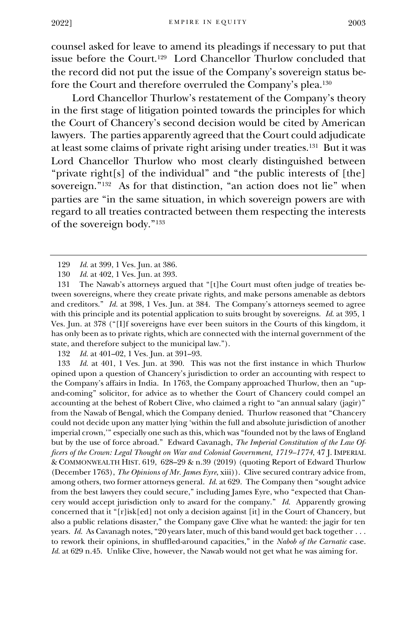counsel asked for leave to amend its pleadings if necessary to put that issue before the Court.<sup>129</sup> Lord Chancellor Thurlow concluded that the record did not put the issue of the Company's sovereign status before the Court and therefore overruled the Company's plea.<sup>130</sup>

Lord Chancellor Thurlow's restatement of the Company's theory in the first stage of litigation pointed towards the principles for which the Court of Chancery's second decision would be cited by American lawyers. The parties apparently agreed that the Court could adjudicate at least some claims of private right arising under treaties.<sup>131</sup> But it was Lord Chancellor Thurlow who most clearly distinguished between "private right[s] of the individual" and "the public interests of [the] sovereign."<sup>132</sup> As for that distinction, "an action does not lie" when parties are "in the same situation, in which sovereign powers are with regard to all treaties contracted between them respecting the interests of the sovereign body."<sup>133</sup>

132 *Id.* at 401–02, 1 Ves. Jun. at 391–93.

133 *Id.* at 401, 1 Ves. Jun. at 390. This was not the first instance in which Thurlow opined upon a question of Chancery's jurisdiction to order an accounting with respect to the Company's affairs in India. In 1763, the Company approached Thurlow, then an "upand-coming" solicitor, for advice as to whether the Court of Chancery could compel an accounting at the behest of Robert Clive, who claimed a right to "an annual salary (jagir)" from the Nawab of Bengal, which the Company denied. Thurlow reasoned that "Chancery could not decide upon any matter lying 'within the full and absolute jurisdiction of another imperial crown,'" especially one such as this, which was "founded not by the laws of England but by the use of force abroad." Edward Cavanagh, *The Imperial Constitution of the Law Officers of the Crown: Legal Thought on War and Colonial Government, 1719–1774*, 47 J. IMPERIAL & COMMONWEALTH HIST. 619, 628–29 & n.39 (2019) (quoting Report of Edward Thurlow (December 1763), *The Opinions of Mr. James Eyre*, xiii)). Clive secured contrary advice from, among others, two former attorneys general. *Id.* at 629. The Company then "sought advice from the best lawyers they could secure," including James Eyre, who "expected that Chancery would accept jurisdiction only to award for the company." *Id.* Apparently growing concerned that it "[r]isk[ed] not only a decision against [it] in the Court of Chancery, but also a public relations disaster," the Company gave Clive what he wanted: the jagir for ten years. *Id.* As Cavanagh notes, "20 years later, much of this band would get back together . . . to rework their opinions, in shuffled-around capacities," in the *Nabob of the Carnatic* case. *Id.* at 629 n.45. Unlike Clive, however, the Nawab would not get what he was aiming for.

<sup>129</sup> *Id.* at 399, 1 Ves. Jun. at 386.

<span id="page-18-0"></span><sup>130</sup> *Id.* at 402, 1 Ves. Jun. at 393.

<sup>131</sup> The Nawab's attorneys argued that "[t]he Court must often judge of treaties between sovereigns, where they create private rights, and make persons amenable as debtors and creditors." *Id.* at 398, 1 Ves. Jun. at 384. The Company's attorneys seemed to agree with this principle and its potential application to suits brought by sovereigns. *Id.* at 395, 1 Ves. Jun. at 378 ("[I]f sovereigns have ever been suitors in the Courts of this kingdom, it has only been as to private rights, which are connected with the internal government of the state, and therefore subject to the municipal law.").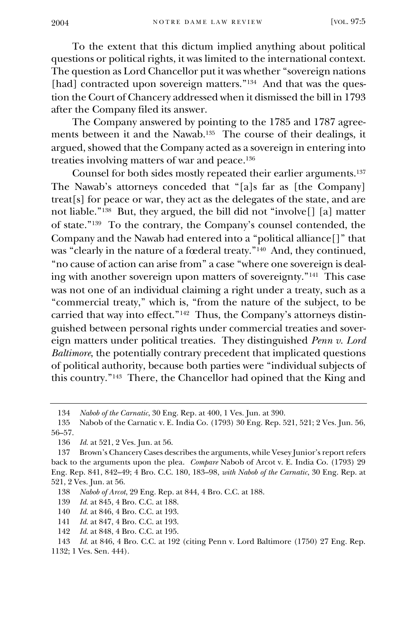To the extent that this dictum implied anything about political questions or political rights, it was limited to the international context. The question as Lord Chancellor put it was whether "sovereign nations [had] contracted upon sovereign matters."<sup>134</sup> And that was the question the Court of Chancery addressed when it dismissed the bill in 1793 after the Company filed its answer.

The Company answered by pointing to the 1785 and 1787 agreements between it and the Nawab.<sup>135</sup> The course of their dealings, it argued, showed that the Company acted as a sovereign in entering into treaties involving matters of war and peace.<sup>136</sup>

Counsel for both sides mostly repeated their earlier arguments.<sup>137</sup> The Nawab's attorneys conceded that "[a]s far as [the Company] treat[s] for peace or war, they act as the delegates of the state, and are not liable."<sup>138</sup> But, they argued, the bill did not "involve[] [a] matter of state."<sup>139</sup> To the contrary, the Company's counsel contended, the Company and the Nawab had entered into a "political alliance[]" that was "clearly in the nature of a fœderal treaty."<sup>140</sup> And, they continued, "no cause of action can arise from" a case "where one sovereign is dealing with another sovereign upon matters of sovereignty."<sup>141</sup> This case was not one of an individual claiming a right under a treaty, such as a "commercial treaty," which is, "from the nature of the subject, to be carried that way into effect."<sup>142</sup> Thus, the Company's attorneys distinguished between personal rights under commercial treaties and sovereign matters under political treaties. They distinguished *Penn v. Lord Baltimore*, the potentially contrary precedent that implicated questions of political authority, because both parties were "individual subjects of this country."<sup>143</sup> There, the Chancellor had opined that the King and

<sup>134</sup> *Nabob of the Carnatic*, 30 Eng. Rep. at 400, 1 Ves. Jun. at 390.

<sup>135</sup> Nabob of the Carnatic v. E. India Co. (1793) 30 Eng. Rep. 521, 521; 2 Ves. Jun. 56, 56–57.

<sup>136</sup> *Id.* at 521, 2 Ves. Jun. at 56.

<sup>137</sup> Brown's Chancery Cases describes the arguments, while Vesey Junior's report refers back to the arguments upon the plea. *Compare* Nabob of Arcot v. E. India Co. (1793) 29 Eng. Rep. 841, 842–49; 4 Bro. C.C. 180, 183–98, *with Nabob of the Carnatic*, 30 Eng. Rep. at 521, 2 Ves. Jun. at 56.

<sup>138</sup> *Nabob of Arcot*, 29 Eng. Rep. at 844, 4 Bro. C.C. at 188.

<sup>139</sup> *Id.* at 845, 4 Bro. C.C. at 188.

<sup>140</sup> *Id.* at 846, 4 Bro. C.C. at 193.

<sup>141</sup> *Id.* at 847, 4 Bro. C.C. at 193.

<sup>142</sup> *Id.* at 848, 4 Bro. C.C. at 195.

<sup>143</sup> *Id.* at 846, 4 Bro. C.C. at 192 (citing Penn v. Lord Baltimore (1750) 27 Eng. Rep. 1132; 1 Ves. Sen. 444).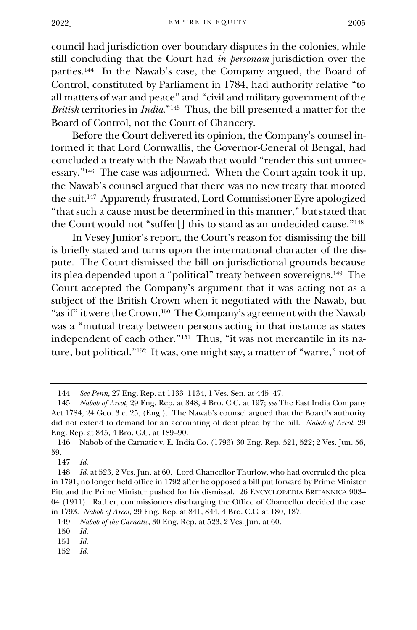council had jurisdiction over boundary disputes in the colonies, while still concluding that the Court had *in personam* jurisdiction over the parties.<sup>144</sup> In the Nawab's case, the Company argued, the Board of Control, constituted by Parliament in 1784, had authority relative "to all matters of war and peace" and "civil and military government of the *British* territories in *India*."<sup>145</sup> Thus, the bill presented a matter for the Board of Control, not the Court of Chancery.

Before the Court delivered its opinion, the Company's counsel informed it that Lord Cornwallis, the Governor-General of Bengal, had concluded a treaty with the Nawab that would "render this suit unnecessary."<sup>146</sup> The case was adjourned. When the Court again took it up, the Nawab's counsel argued that there was no new treaty that mooted the suit. 147 Apparently frustrated, Lord Commissioner Eyre apologized "that such a cause must be determined in this manner," but stated that the Court would not "suffer[] this to stand as an undecided cause."<sup>148</sup>

In Vesey Junior's report, the Court's reason for dismissing the bill is briefly stated and turns upon the international character of the dispute. The Court dismissed the bill on jurisdictional grounds because its plea depended upon a "political" treaty between sovereigns.<sup>149</sup> The Court accepted the Company's argument that it was acting not as a subject of the British Crown when it negotiated with the Nawab, but "as if" it were the Crown.<sup>150</sup> The Company's agreement with the Nawab was a "mutual treaty between persons acting in that instance as states independent of each other."<sup>151</sup> Thus, "it was not mercantile in its nature, but political."<sup>152</sup> It was, one might say, a matter of "warre," not of

<sup>144</sup> *See Penn*, 27 Eng. Rep. at 1133–1134, 1 Ves. Sen. at 445–47.

<sup>145</sup> *Nabob of Arcot*, 29 Eng. Rep. at 848, 4 Bro. C.C. at 197; *see* The East India Company Act 1784, 24 Geo. 3 c. 25, (Eng.). The Nawab's counsel argued that the Board's authority did not extend to demand for an accounting of debt plead by the bill. *Nabob of Arcot*, 29 Eng. Rep. at 845, 4 Bro. C.C. at 189–90.

<sup>146</sup> Nabob of the Carnatic v. E. India Co. (1793) 30 Eng. Rep. 521, 522; 2 Ves. Jun. 56, 59.

<sup>147</sup> *Id.* 

<sup>148</sup> *Id.* at 523, 2 Ves. Jun. at 60.Lord Chancellor Thurlow, who had overruled the plea in 1791, no longer held office in 1792 after he opposed a bill put forward by Prime Minister Pitt and the Prime Minister pushed for his dismissal. 26 ENCYCLOPÆDIA BRITANNICA 903– 04 (1911). Rather, commissioners discharging the Office of Chancellor decided the case in 1793. *Nabob of Arcot*, 29 Eng. Rep. at 841, 844, 4 Bro. C.C. at 180, 187.

<sup>149</sup> *Nabob of the Carnatic*, 30 Eng. Rep. at 523, 2 Ves. Jun. at 60.

<sup>150</sup> *Id.*

<sup>151</sup> *Id.* 

<sup>152</sup> *Id.*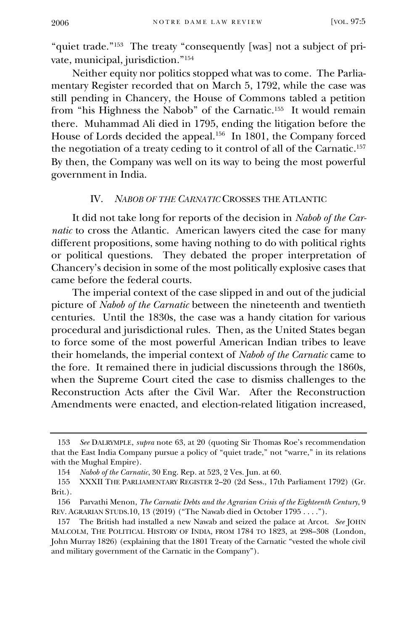"quiet trade."<sup>153</sup> The treaty "consequently [was] not a subject of private, municipal, jurisdiction."<sup>154</sup>

Neither equity nor politics stopped what was to come. The Parliamentary Register recorded that on March 5, 1792, while the case was still pending in Chancery, the House of Commons tabled a petition from "his Highness the Nabob" of the Carnatic.<sup>155</sup> It would remain there. Muhammad Ali died in 1795, ending the litigation before the House of Lords decided the appeal.<sup>156</sup> In 1801, the Company forced the negotiation of a treaty ceding to it control of all of the Carnatic.<sup>157</sup> By then, the Company was well on its way to being the most powerful government in India.

## <span id="page-21-0"></span>IV. *NABOB OF THE CARNATIC* CROSSES THE ATLANTIC

It did not take long for reports of the decision in *Nabob of the Carnatic* to cross the Atlantic. American lawyers cited the case for many different propositions, some having nothing to do with political rights or political questions. They debated the proper interpretation of Chancery's decision in some of the most politically explosive cases that came before the federal courts.

The imperial context of the case slipped in and out of the judicial picture of *Nabob of the Carnatic* between the nineteenth and twentieth centuries. Until the 1830s, the case was a handy citation for various procedural and jurisdictional rules. Then, as the United States began to force some of the most powerful American Indian tribes to leave their homelands, the imperial context of *Nabob of the Carnatic* came to the fore. It remained there in judicial discussions through the 1860s, when the Supreme Court cited the case to dismiss challenges to the Reconstruction Acts after the Civil War. After the Reconstruction Amendments were enacted, and election-related litigation increased,

<sup>153</sup> *See* DALRYMPLE, *supra* note 63, at 20 (quoting Sir Thomas Roe's recommendation that the East India Company pursue a policy of "quiet trade," not "warre," in its relations with the Mughal Empire).

<sup>154</sup> *Nabob of the Carnatic*, 30 Eng. Rep. at 523, 2 Ves. Jun. at 60.

<sup>155</sup> XXXII THE PARLIAMENTARY REGISTER 2–20 (2d Sess., 17th Parliament 1792) (Gr. Brit.).

<sup>156</sup> Parvathi Menon, *The Carnatic Debts and the Agrarian Crisis of the Eighteenth Century*, 9 REV. AGRARIAN STUDS.10, 13 (2019) ("The Nawab died in October 1795 . . . .").

<sup>157</sup> The British had installed a new Nawab and seized the palace at Arcot. *See* JOHN MALCOLM, THE POLITICAL HISTORY OF INDIA, FROM 1784 TO 1823, at 298–308 (London, John Murray 1826) (explaining that the 1801 Treaty of the Carnatic "vested the whole civil and military government of the Carnatic in the Company").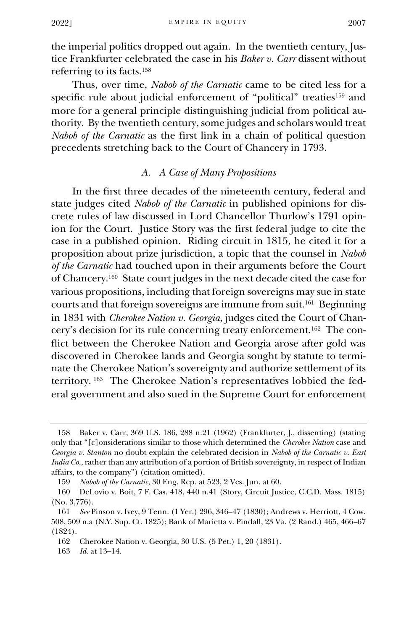the imperial politics dropped out again. In the twentieth century, Justice Frankfurter celebrated the case in his *Baker v. Carr* dissent without referring to its facts.<sup>158</sup>

Thus, over time, *Nabob of the Carnatic* came to be cited less for a specific rule about judicial enforcement of "political" treaties<sup>159</sup> and more for a general principle distinguishing judicial from political authority. By the twentieth century, some judges and scholars would treat *Nabob of the Carnatic* as the first link in a chain of political question precedents stretching back to the Court of Chancery in 1793.

## *A. A Case of Many Propositions*

In the first three decades of the nineteenth century, federal and state judges cited *Nabob of the Carnatic* in published opinions for discrete rules of law discussed in Lord Chancellor Thurlow's 1791 opinion for the Court. Justice Story was the first federal judge to cite the case in a published opinion. Riding circuit in 1815, he cited it for a proposition about prize jurisdiction, a topic that the counsel in *Nabob of the Carnatic* had touched upon in their arguments before the Court of Chancery.<sup>160</sup> State court judges in the next decade cited the case for various propositions, including that foreign sovereigns may sue in state courts and that foreign sovereigns are immune from suit.<sup>161</sup> Beginning in 1831 with *Cherokee Nation v. Georgia*, judges cited the Court of Chancery's decision for its rule concerning treaty enforcement.<sup>162</sup> The conflict between the Cherokee Nation and Georgia arose after gold was discovered in Cherokee lands and Georgia sought by statute to terminate the Cherokee Nation's sovereignty and authorize settlement of its territory. <sup>163</sup> The Cherokee Nation's representatives lobbied the federal government and also sued in the Supreme Court for enforcement

<sup>158</sup> Baker v. Carr, 369 U.S. 186, 288 n.21 (1962) (Frankfurter, J., dissenting) (stating only that "[c]onsiderations similar to those which determined the *Cherokee Nation* case and *Georgia v. Stanton* no doubt explain the celebrated decision in *Nabob of the Carnatic v. East India Co.*, rather than any attribution of a portion of British sovereignty, in respect of Indian affairs, to the company") (citation omitted).

<sup>159</sup> *Nabob of the Carnatic*, 30 Eng. Rep. at 523, 2 Ves. Jun. at 60.

<sup>160</sup> DeLovio v. Boit, 7 F. Cas. 418, 440 n.41 (Story, Circuit Justice, C.C.D. Mass. 1815) (No. 3,776).

<sup>161</sup> *See* Pinson v. Ivey, 9 Tenn. (1 Yer.) 296, 346–47 (1830); Andrews v. Herriott, 4 Cow. 508, 509 n.a (N.Y. Sup. Ct. 1825); Bank of Marietta v. Pindall, 23 Va. (2 Rand.) 465, 466–67 (1824).

<sup>162</sup> Cherokee Nation v. Georgia, 30 U.S. (5 Pet.) 1, 20 (1831).

<sup>163</sup> *Id.* at 13–14.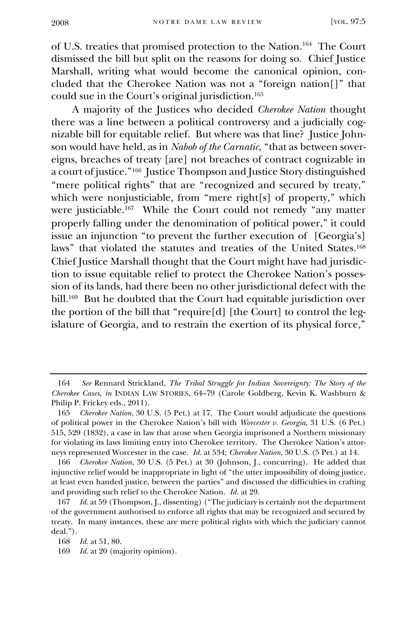of U.S. treaties that promised protection to the Nation.<sup>164</sup> The Court dismissed the bill but split on the reasons for doing so. Chief Justice Marshall, writing what would become the canonical opinion, concluded that the Cherokee Nation was not a "foreign nation[]" that could sue in the Court's original jurisdiction.<sup>165</sup>

A majority of the Justices who decided *Cherokee Nation* thought there was a line between a political controversy and a judicially cognizable bill for equitable relief. But where was that line? Justice Johnson would have held, as in *Nabob of the Carnatic*, "that as between sovereigns, breaches of treaty [are] not breaches of contract cognizable in a court of justice."<sup>166</sup> Justice Thompson and Justice Story distinguished "mere political rights" that are "recognized and secured by treaty," which were nonjusticiable, from "mere right[s] of property," which were justiciable.<sup>167</sup> While the Court could not remedy "any matter properly falling under the denomination of political power," it could issue an injunction "to prevent the further execution of [Georgia's] laws" that violated the statutes and treaties of the United States.<sup>168</sup> Chief Justice Marshall thought that the Court might have had jurisdiction to issue equitable relief to protect the Cherokee Nation's possession of its lands, had there been no other jurisdictional defect with the bill.<sup>169</sup> But he doubted that the Court had equitable jurisdiction over the portion of the bill that "require[d] [the Court] to control the legislature of Georgia, and to restrain the exertion of its physical force,"

<sup>164</sup> *See* Rennard Strickland, *The Tribal Struggle for Indian Sovereignty: The Story of the Cherokee Cases*, *in* INDIAN LAW STORIES, 64–79 (Carole Goldberg, Kevin K. Washburn & Philip P. Frickey eds., 2011).

<sup>165</sup> *Cherokee Nation*, 30 U.S. (5 Pet.) at 17. The Court would adjudicate the questions of political power in the Cherokee Nation's bill with *Worcester v. Georgia*, 31 U.S. (6 Pet.) 515, 529 (1832), a case in law that arose when Georgia imprisoned a Northern missionary for violating its laws limiting entry into Cherokee territory. The Cherokee Nation's attorneys represented Worcester in the case. *Id.* at 534; *Cherokee Nation*, 30 U.S. (5 Pet.) at 14.

<sup>166</sup> *Cherokee Nation*, 30 U.S. (5 Pet.) at 30 (Johnson, J., concurring). He added that injunctive relief would be inappropriate in light of "the utter impossibility of doing justice, at least even handed justice, between the parties" and discussed the difficulties in crafting and providing such relief to the Cherokee Nation. *Id.* at 29.

<sup>167</sup> *Id.* at 59 (Thompson, J., dissenting) ("The judiciary is certainly not the department of the government authorised to enforce all rights that may be recognized and secured by treaty. In many instances, these are mere political rights with which the judiciary cannot deal.").

<sup>168</sup> *Id.* at 51, 80.

<sup>169</sup> *Id.* at 20 (majority opinion).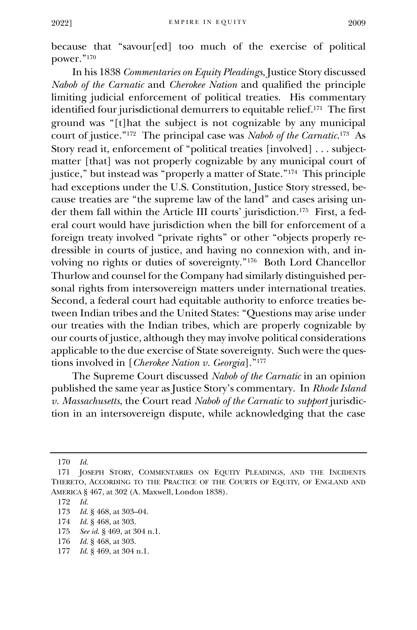because that "savour[ed] too much of the exercise of political power."<sup>170</sup>

In his 1838 *Commentaries on Equity Pleadings*, Justice Story discussed *Nabob of the Carnatic* and *Cherokee Nation* and qualified the principle limiting judicial enforcement of political treaties. His commentary identified four jurisdictional demurrers to equitable relief.<sup>171</sup> The first ground was "[t]hat the subject is not cognizable by any municipal court of justice."<sup>172</sup> The principal case was *Nabob of the Carnatic*. 173 As Story read it, enforcement of "political treaties [involved] . . . subjectmatter [that] was not properly cognizable by any municipal court of justice," but instead was "properly a matter of State."<sup>174</sup> This principle had exceptions under the U.S. Constitution, Justice Story stressed, because treaties are "the supreme law of the land" and cases arising under them fall within the Article III courts' jurisdiction.<sup>175</sup> First, a federal court would have jurisdiction when the bill for enforcement of a foreign treaty involved "private rights" or other "objects properly redressible in courts of justice, and having no connexion with, and involving no rights or duties of sovereignty."<sup>176</sup> Both Lord Chancellor Thurlow and counsel for the Company had similarly distinguished personal rights from intersovereign matters under international treaties. Second, a federal court had equitable authority to enforce treaties between Indian tribes and the United States: "Questions may arise under our treaties with the Indian tribes, which are properly cognizable by our courts of justice, although they may involve political considerations applicable to the due exercise of State sovereignty. Such were the questions involved in [*Cherokee Nation v. Georgia*]."<sup>177</sup>

The Supreme Court discussed *Nabob of the Carnatic* in an opinion published the same year as Justice Story's commentary. In *Rhode Island v. Massachusetts*, the Court read *Nabob of the Carnatic* to *support* jurisdiction in an intersovereign dispute, while acknowledging that the case

<sup>170</sup> *Id.*

<sup>171</sup> JOSEPH STORY, COMMENTARIES ON EQUITY PLEADINGS, AND THE INCIDENTS THERETO, ACCORDING TO THE PRACTICE OF THE COURTS OF EQUITY, OF ENGLAND AND AMERICA § 467, at 302 (A. Maxwell, London 1838).

<sup>172</sup> *Id.*

<sup>173</sup> *Id.* § 468, at 303–04.<br>174 *Id.* § 468, at 303.

<sup>174</sup> *Id.* § 468, at 303.

<sup>175</sup> *See id.* § 469, at 304 n.1.

<sup>176</sup> *Id.* § 468, at 303.

<sup>177</sup> *Id.* § 469, at 304 n.1.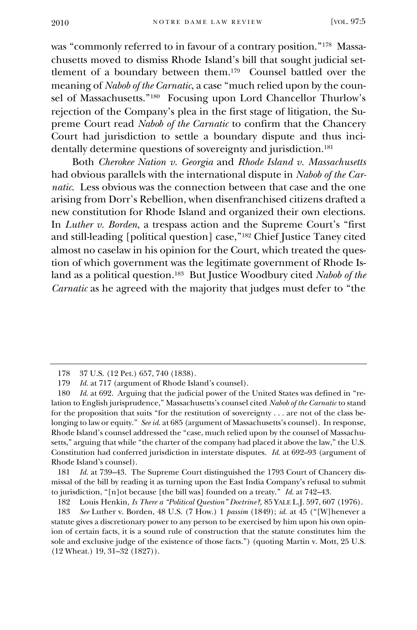was "commonly referred to in favour of a contrary position."<sup>178</sup> Massachusetts moved to dismiss Rhode Island's bill that sought judicial settlement of a boundary between them.<sup>179</sup> Counsel battled over the meaning of *Nabob of the Carnatic*, a case "much relied upon by the counsel of Massachusetts."<sup>180</sup> Focusing upon Lord Chancellor Thurlow's rejection of the Company's plea in the first stage of litigation, the Supreme Court read *Nabob of the Carnatic* to confirm that the Chancery Court had jurisdiction to settle a boundary dispute and thus incidentally determine questions of sovereignty and jurisdiction.<sup>181</sup>

Both *Cherokee Nation v. Georgia* and *Rhode Island v. Massachusetts*  had obvious parallels with the international dispute in *Nabob of the Carnatic*. Less obvious was the connection between that case and the one arising from Dorr's Rebellion, when disenfranchised citizens drafted a new constitution for Rhode Island and organized their own elections. In *Luther v. Borden*, a trespass action and the Supreme Court's "first and still-leading [political question] case,"<sup>182</sup> Chief Justice Taney cited almost no caselaw in his opinion for the Court, which treated the question of which government was the legitimate government of Rhode Island as a political question.<sup>183</sup> But Justice Woodbury cited *Nabob of the Carnatic* as he agreed with the majority that judges must defer to "the

181 *Id.* at 739–43. The Supreme Court distinguished the 1793 Court of Chancery dismissal of the bill by reading it as turning upon the East India Company's refusal to submit to jurisdiction, "[n]ot because [the bill was] founded on a treaty." *Id.* at 742–43.

182 Louis Henkin, *Is There a "Political Question" Doctrine?,* 85 YALE L.J. 597, 607 (1976).

<sup>178</sup> 37 U.S. (12 Pet.) 657, 740 (1838).

<sup>179</sup> *Id.* at 717 (argument of Rhode Island's counsel).

<sup>180</sup> *Id.* at 692. Arguing that the judicial power of the United States was defined in "relation to English jurisprudence," Massachusetts's counsel cited *Nabob of the Carnatic* to stand for the proposition that suits "for the restitution of sovereignty . . . are not of the class belonging to law or equity." *See id.* at 685 (argument of Massachusetts's counsel). In response, Rhode Island's counsel addressed the "case, much relied upon by the counsel of Massachusetts," arguing that while "the charter of the company had placed it above the law," the U.S. Constitution had conferred jurisdiction in interstate disputes. *Id.* at 692–93 (argument of Rhode Island's counsel).

<sup>183</sup> *See* Luther v. Borden, 48 U.S. (7 How.) 1 *passim* (1849); *id.* at 45 ("[W]henever a statute gives a discretionary power to any person to be exercised by him upon his own opinion of certain facts, it is a sound rule of construction that the statute constitutes him the sole and exclusive judge of the existence of those facts.") (quoting Martin v. Mott, 25 U.S. (12 Wheat.) 19, 31–32 (1827)).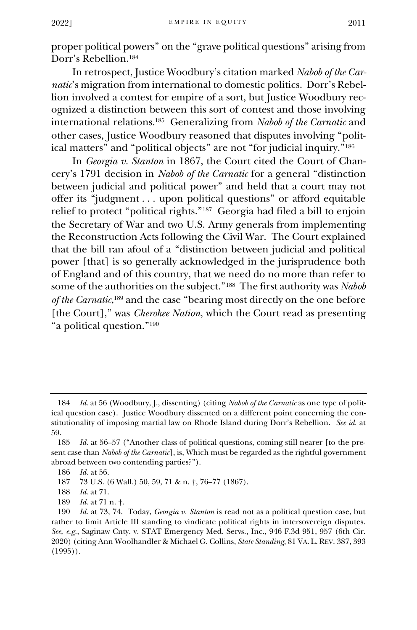proper political powers" on the "grave political questions" arising from Dorr's Rebellion.<sup>184</sup>

In retrospect, Justice Woodbury's citation marked *Nabob of the Carnatic*'s migration from international to domestic politics. Dorr's Rebellion involved a contest for empire of a sort, but Justice Woodbury recognized a distinction between this sort of contest and those involving international relations.<sup>185</sup> Generalizing from *Nabob of the Carnatic* and other cases, Justice Woodbury reasoned that disputes involving "political matters" and "political objects" are not "for judicial inquiry."<sup>186</sup>

In *Georgia v. Stanton* in 1867, the Court cited the Court of Chancery's 1791 decision in *Nabob of the Carnatic* for a general "distinction between judicial and political power" and held that a court may not offer its "judgment . . . upon political questions" or afford equitable relief to protect "political rights."<sup>187</sup> Georgia had filed a bill to enjoin the Secretary of War and two U.S. Army generals from implementing the Reconstruction Acts following the Civil War. The Court explained that the bill ran afoul of a "distinction between judicial and political power [that] is so generally acknowledged in the jurisprudence both of England and of this country, that we need do no more than refer to some of the authorities on the subject."<sup>188</sup> The first authority was *Nabob of the Carnatic*, <sup>189</sup> and the case "bearing most directly on the one before [the Court]," was *Cherokee Nation*, which the Court read as presenting "a political question."<sup>190</sup>

- 188 *Id.* at 71.
- 189 *Id.* at 71 n. †.

<sup>184</sup> *Id.* at 56 (Woodbury, J., dissenting) (citing *Nabob of the Carnatic* as one type of political question case). Justice Woodbury dissented on a different point concerning the constitutionality of imposing martial law on Rhode Island during Dorr's Rebellion. *See id.* at 59.

<sup>185</sup> *Id.* at 56–57 ("Another class of political questions, coming still nearer [to the present case than *Nabob of the Carnatic*], is, Which must be regarded as the rightful government abroad between two contending parties?").

<sup>186</sup> *Id.* at 56.

<sup>187</sup> 73 U.S. (6 Wall.) 50, 59, 71 & n. †, 76–77 (1867).

<sup>190</sup> *Id.* at 73, 74. Today, *Georgia v. Stanton* is read not as a political question case, but rather to limit Article III standing to vindicate political rights in intersovereign disputes. *See, e.g.*, Saginaw Cnty. v. STAT Emergency Med. Servs., Inc., 946 F.3d 951, 957 (6th Cir. 2020) (citing Ann Woolhandler & Michael G. Collins, *State Standing*, 81 VA. L. REV. 387, 393 (1995)).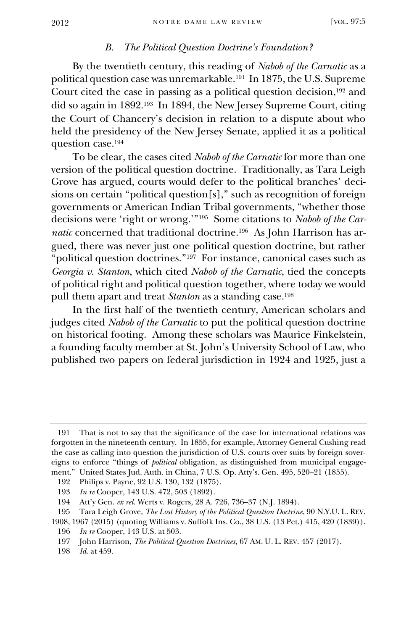#### *B. The Political Question Doctrine's Foundation?*

By the twentieth century, this reading of *Nabob of the Carnatic* as a political question case was unremarkable.<sup>191</sup> In 1875, the U.S. Supreme Court cited the case in passing as a political question decision,<sup>192</sup> and did so again in 1892.<sup>193</sup> In 1894, the New Jersey Supreme Court, citing the Court of Chancery's decision in relation to a dispute about who held the presidency of the New Jersey Senate, applied it as a political question case.<sup>194</sup>

To be clear, the cases cited *Nabob of the Carnatic* for more than one version of the political question doctrine. Traditionally, as Tara Leigh Grove has argued, courts would defer to the political branches' decisions on certain "political question[s]," such as recognition of foreign governments or American Indian Tribal governments, "whether those decisions were 'right or wrong.'"<sup>195</sup> Some citations to *Nabob of the Carnatic* concerned that traditional doctrine.<sup>196</sup> As John Harrison has argued, there was never just one political question doctrine, but rather "political question doctrines."<sup>197</sup> For instance, canonical cases such as *Georgia v. Stanton*, which cited *Nabob of the Carnatic*, tied the concepts of political right and political question together, where today we would pull them apart and treat *Stanton* as a standing case.<sup>198</sup>

In the first half of the twentieth century, American scholars and judges cited *Nabob of the Carnatic* to put the political question doctrine on historical footing. Among these scholars was Maurice Finkelstein, a founding faculty member at St. John's University School of Law, who published two papers on federal jurisdiction in 1924 and 1925, just a

<sup>191</sup> That is not to say that the significance of the case for international relations was forgotten in the nineteenth century. In 1855, for example, Attorney General Cushing read the case as calling into question the jurisdiction of U.S. courts over suits by foreign sovereigns to enforce "things of *political* obligation, as distinguished from municipal engagement." United States Jud. Auth. in China, 7 U.S. Op. Atty's. Gen. 495, 520–21 (1855).

<sup>192</sup> Philips v. Payne, 92 U.S. 130, 132 (1875).

<sup>193</sup> *In re* Cooper, 143 U.S. 472, 503 (1892).

<sup>194</sup> Att'y Gen. *ex rel.* Werts v. Rogers, 28 A. 726, 736–37 (N.J. 1894).

<sup>195</sup> Tara Leigh Grove, *The Lost History of the Political Question Doctrine*, 90 N.Y.U. L. REV.

<sup>1908, 1967 (2015) (</sup>quoting Williams v. Suffolk Ins. Co., 38 U.S. (13 Pet.) 415, 420 (1839)). 196 *In re* Cooper, 143 U.S. at 503.

<sup>197</sup> John Harrison, *The Political Question Doctrines*, 67 AM. U. L. REV. 457 (2017).

<sup>198</sup> *Id.* at 459.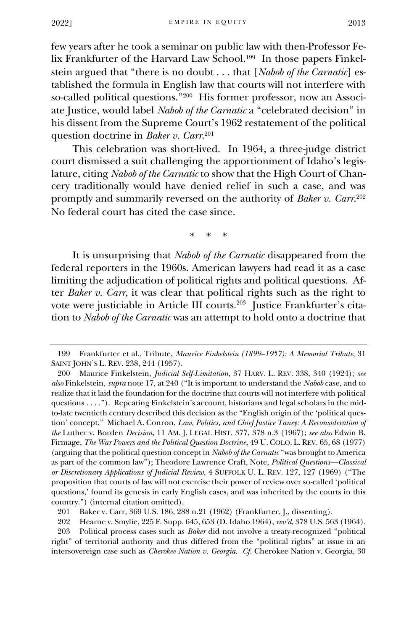few years after he took a seminar on public law with then-Professor Felix Frankfurter of the Harvard Law School.<sup>199</sup> In those papers Finkelstein argued that "there is no doubt . . . that [*Nabob of the Carnatic*] established the formula in English law that courts will not interfere with so-called political questions."<sup>200</sup> His former professor, now an Associate Justice, would label *Nabob of the Carnatic* a "celebrated decision" in his dissent from the Supreme Court's 1962 restatement of the political question doctrine in *Baker v. Carr*. 201

This celebration was short-lived. In 1964, a three-judge district court dismissed a suit challenging the apportionment of Idaho's legislature, citing *Nabob of the Carnatic* to show that the High Court of Chancery traditionally would have denied relief in such a case, and was promptly and summarily reversed on the authority of *Baker v. Carr*. 202 No federal court has cited the case since.

\* \* \*

It is unsurprising that *Nabob of the Carnatic* disappeared from the federal reporters in the 1960s. American lawyers had read it as a case limiting the adjudication of political rights and political questions. After *Baker v. Carr*, it was clear that political rights such as the right to vote were justiciable in Article III courts.<sup>203</sup> Justice Frankfurter's citation to *Nabob of the Carnatic* was an attempt to hold onto a doctrine that

<sup>199</sup> Frankfurter et al., Tribute, *Maurice Finkelstein (1899–1957): A Memorial Tribute*, 31 SAINT JOHN'S L. REV. 238, 244 (1957).

<span id="page-28-0"></span><sup>200</sup> Maurice Finkelstein, *Judicial Self-Limitation*, 37 HARV. L. REV. 338, 340 (1924); *see also* Finkelstein, *supra* note 17, at 240 ("It is important to understand the *Nabob* case, and to realize that it laid the foundation for the doctrine that courts will not interfere with political questions . . . ."). Repeating Finkelstein's account, historians and legal scholars in the midto-late twentieth century described this decision as the "English origin of the 'political question' concept." Michael A. Conron, *Law, Politics, and Chief Justice Taney: A Reconsideration of the* Luther v. Borden *Decision*, 11 AM. J. LEGAL HIST. 377, 378 n.3 (1967); *see also* Edwin B. Firmage, *The War Powers and the Political Question Doctrine*, 49 U. COLO. L. REV. 65, 68 (1977) (arguing that the political question concept in *Nabob of the Carnatic* "was brought to America as part of the common law"); Theodore Lawrence Craft, Note, *Political Questions—Classical or Discretionary Applications of Judicial Review*, 4 SUFFOLK U. L. REV. 127, 127 (1969) ("The proposition that courts of law will not exercise their power of review over so-called 'political questions,' found its genesis in early English cases, and was inherited by the courts in this country.") (internal citation omitted).

<sup>201</sup> Baker v. Carr, 369 U.S. 186, 288 n.21 (1962) (Frankfurter, J., dissenting).

<sup>202</sup> Hearne v. Smylie, 225 F. Supp. 645, 653 (D. Idaho 1964), *rev'd*, 378 U.S. 563 (1964). 203 Political process cases such as *Baker* did not involve a treaty-recognized "political right" of territorial authority and thus differed from the "political rights" at issue in an intersovereign case such as *Cherokee Nation v. Georgia*. *Cf.* Cherokee Nation v. Georgia, 30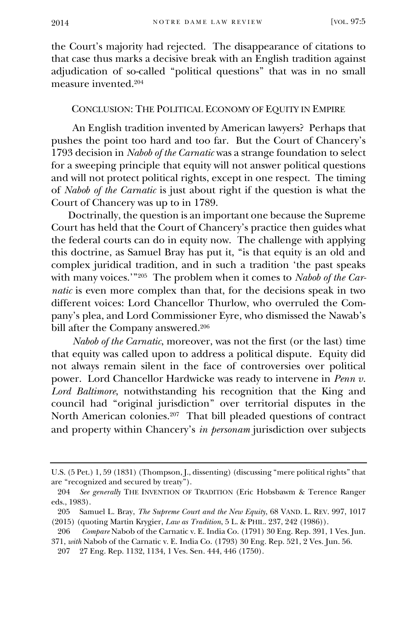the Court's majority had rejected. The disappearance of citations to that case thus marks a decisive break with an English tradition against adjudication of so-called "political questions" that was in no small measure invented.<sup>204</sup>

#### CONCLUSION: THE POLITICAL ECONOMY OF EQUITY IN EMPIRE

An English tradition invented by American lawyers? Perhaps that pushes the point too hard and too far. But the Court of Chancery's 1793 decision in *Nabob of the Carnatic* was a strange foundation to select for a sweeping principle that equity will not answer political questions and will not protect political rights, except in one respect. The timing of *Nabob of the Carnatic* is just about right if the question is what the Court of Chancery was up to in 1789.

Doctrinally, the question is an important one because the Supreme Court has held that the Court of Chancery's practice then guides what the federal courts can do in equity now. The challenge with applying this doctrine, as Samuel Bray has put it, "is that equity is an old and complex juridical tradition, and in such a tradition 'the past speaks with many voices.'"<sup>205</sup> The problem when it comes to *Nabob of the Carnatic* is even more complex than that, for the decisions speak in two different voices: Lord Chancellor Thurlow, who overruled the Company's plea, and Lord Commissioner Eyre, who dismissed the Nawab's bill after the Company answered.<sup>206</sup>

*Nabob of the Carnatic*, moreover, was not the first (or the last) time that equity was called upon to address a political dispute. Equity did not always remain silent in the face of controversies over political power. Lord Chancellor Hardwicke was ready to intervene in *Penn v. Lord Baltimore*, notwithstanding his recognition that the King and council had "original jurisdiction" over territorial disputes in the North American colonies.<sup>207</sup> That bill pleaded questions of contract and property within Chancery's *in personam* jurisdiction over subjects

206 *Compare* Nabob of the Carnatic v. E. India Co. (1791) 30 Eng. Rep. 391, 1 Ves. Jun. 371, *with* Nabob of the Carnatic v. E. India Co. (1793) 30 Eng. Rep. 521, 2 Ves. Jun. 56.

U.S. (5 Pet.) 1, 59 (1831) (Thompson, J., dissenting) (discussing "mere political rights" that are "recognized and secured by treaty").

<sup>204</sup> *See generally* THE INVENTION OF TRADITION (Eric Hobsbawm & Terence Ranger eds., 1983).

<sup>205</sup> Samuel L. Bray, *The Supreme Court and the New Equity*, 68 VAND. L. REV. 997, 1017 (2015) (quoting Martin Krygier, *Law as Tradition*, 5 L. & PHIL. 237, 242 (1986)).

<sup>207</sup> 27 Eng. Rep. 1132, 1134, 1 Ves. Sen. 444, 446 (1750).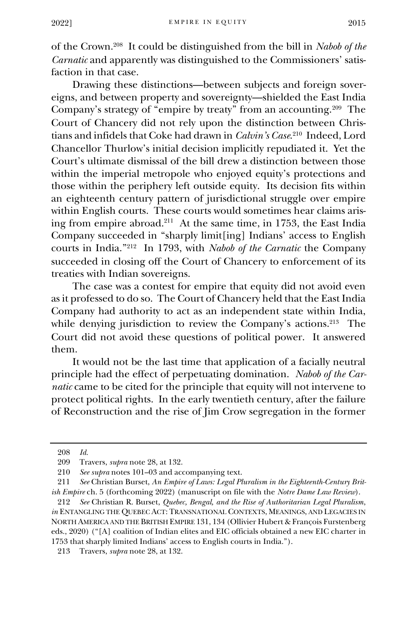of the Crown.<sup>208</sup> It could be distinguished from the bill in *Nabob of the Carnatic* and apparently was distinguished to the Commissioners' satisfaction in that case.

Drawing these distinctions—between subjects and foreign sovereigns, and between property and sovereignty—shielded the East India Company's strategy of "empire by treaty" from an accounting.<sup>209</sup> The Court of Chancery did not rely upon the distinction between Christians and infidels that Coke had drawn in *Calvin's Case*. 210 Indeed, Lord Chancellor Thurlow's initial decision implicitly repudiated it. Yet the Court's ultimate dismissal of the bill drew a distinction between those within the imperial metropole who enjoyed equity's protections and those within the periphery left outside equity. Its decision fits within an eighteenth century pattern of jurisdictional struggle over empire within English courts. These courts would sometimes hear claims arising from empire abroad. <sup>211</sup> At the same time, in 1753, the East India Company succeeded in "sharply limit[ing] Indians' access to English courts in India."<sup>212</sup> In 1793, with *Nabob of the Carnatic* the Company succeeded in closing off the Court of Chancery to enforcement of its treaties with Indian sovereigns.

The case was a contest for empire that equity did not avoid even as it professed to do so. The Court of Chancery held that the East India Company had authority to act as an independent state within India, while denying jurisdiction to review the Company's actions. 213 The Court did not avoid these questions of political power. It answered them.

It would not be the last time that application of a facially neutral principle had the effect of perpetuating domination. *Nabob of the Carnatic* came to be cited for the principle that equity will not intervene to protect political rights. In the early twentieth century, after the failure of Reconstruction and the rise of Jim Crow segregation in the former

<sup>208</sup> *Id.*

<sup>209</sup> Travers, *supra* note 28, at 132.

<sup>210</sup> *See supra* notes 101–03 and accompanying text.

<sup>211</sup> *See* Christian Burset, *An Empire of Laws: Legal Pluralism in the Eighteenth-Century British Empire* ch. 5 (forthcoming 2022) (manuscript on file with the *Notre Dame Law Review*).

<sup>212</sup> *See* Christian R. Burset, *Quebec, Bengal, and the Rise of Authoritarian Legal Pluralism*, *in* ENTANGLING THE QUEBEC ACT: TRANSNATIONAL CONTEXTS, MEANINGS, AND LEGACIES IN NORTH AMERICA AND THE BRITISH EMPIRE 131, 134 (Ollivier Hubert & François Furstenberg eds., 2020) ("[A] coalition of Indian elites and EIC officials obtained a new EIC charter in 1753 that sharply limited Indians' access to English courts in India.").

<sup>213</sup> Travers, *supra* note 28, at 132.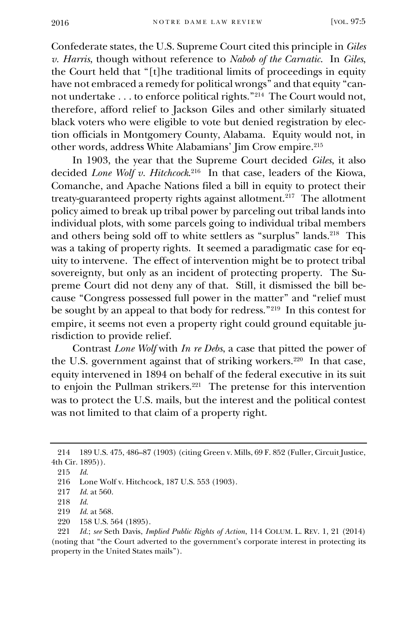Confederate states, the U.S. Supreme Court cited this principle in *Giles v. Harris*, though without reference to *Nabob of the Carnatic*.In *Giles*, the Court held that "[t]he traditional limits of proceedings in equity have not embraced a remedy for political wrongs" and that equity "cannot undertake . . . to enforce political rights."<sup>214</sup> The Court would not, therefore, afford relief to Jackson Giles and other similarly situated black voters who were eligible to vote but denied registration by election officials in Montgomery County, Alabama. Equity would not, in other words, address White Alabamians' Jim Crow empire.<sup>215</sup>

In 1903, the year that the Supreme Court decided *Giles*, it also decided *Lone Wolf v. Hitchcock*. 216 In that case, leaders of the Kiowa, Comanche, and Apache Nations filed a bill in equity to protect their treaty-guaranteed property rights against allotment.<sup>217</sup> The allotment policy aimed to break up tribal power by parceling out tribal lands into individual plots, with some parcels going to individual tribal members and others being sold off to white settlers as "surplus" lands.<sup>218</sup> This was a taking of property rights. It seemed a paradigmatic case for equity to intervene. The effect of intervention might be to protect tribal sovereignty, but only as an incident of protecting property. The Supreme Court did not deny any of that. Still, it dismissed the bill because "Congress possessed full power in the matter" and "relief must be sought by an appeal to that body for redress."<sup>219</sup> In this contest for empire, it seems not even a property right could ground equitable jurisdiction to provide relief.

Contrast *Lone Wolf* with *In re Debs*, a case that pitted the power of the U.S. government against that of striking workers.<sup>220</sup> In that case, equity intervened in 1894 on behalf of the federal executive in its suit to enjoin the Pullman strikers.<sup>221</sup> The pretense for this intervention was to protect the U.S. mails, but the interest and the political contest was not limited to that claim of a property right.

<sup>214</sup> 189 U.S. 475, 486–87 (1903) (citing Green v. Mills, 69 F. 852 (Fuller, Circuit Justice, 4th Cir. 1895)).

<sup>215</sup> *Id.* 

<sup>216</sup> Lone Wolf v. Hitchcock, 187 U.S. 553 (1903).

<sup>217</sup> *Id.* at 560.

<sup>218</sup> *Id.*

<sup>219</sup> *Id.* at 568.

<sup>220</sup> 158 U.S. 564 (1895).

<sup>221</sup> *Id.*; *see* Seth Davis, *Implied Public Rights of Action*, 114 COLUM. L. REV. 1, 21 (2014) (noting that "the Court adverted to the government's corporate interest in protecting its property in the United States mails").